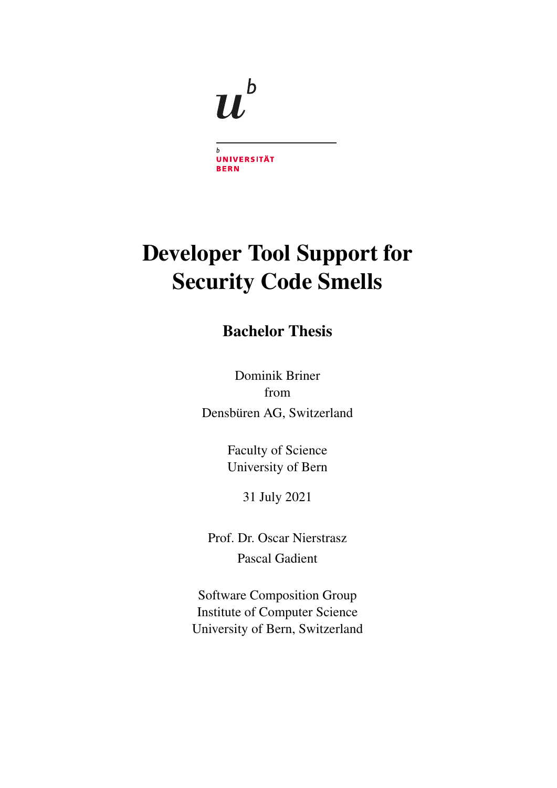

 $\boldsymbol{b}$ UNIVERSITÄT **BERN** 

# Developer Tool Support for Security Code Smells

# Bachelor Thesis

Dominik Briner from Densbüren AG, Switzerland

> Faculty of Science University of Bern

> > 31 July 2021

Prof. Dr. Oscar Nierstrasz Pascal Gadient

Software Composition Group Institute of Computer Science University of Bern, Switzerland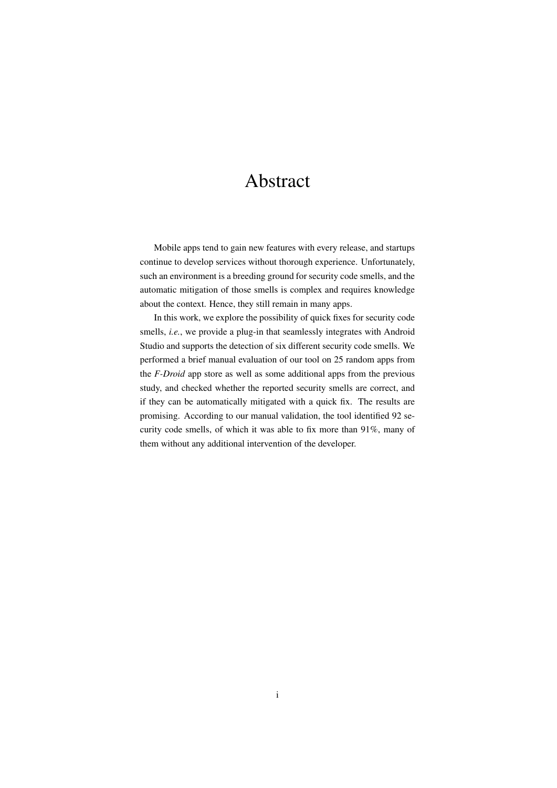# Abstract

Mobile apps tend to gain new features with every release, and startups continue to develop services without thorough experience. Unfortunately, such an environment is a breeding ground for security code smells, and the automatic mitigation of those smells is complex and requires knowledge about the context. Hence, they still remain in many apps.

In this work, we explore the possibility of quick fixes for security code smells, *i.e.*, we provide a plug-in that seamlessly integrates with Android Studio and supports the detection of six different security code smells. We performed a brief manual evaluation of our tool on 25 random apps from the *F-Droid* app store as well as some additional apps from the previous study, and checked whether the reported security smells are correct, and if they can be automatically mitigated with a quick fix. The results are promising. According to our manual validation, the tool identified 92 security code smells, of which it was able to fix more than 91%, many of them without any additional intervention of the developer.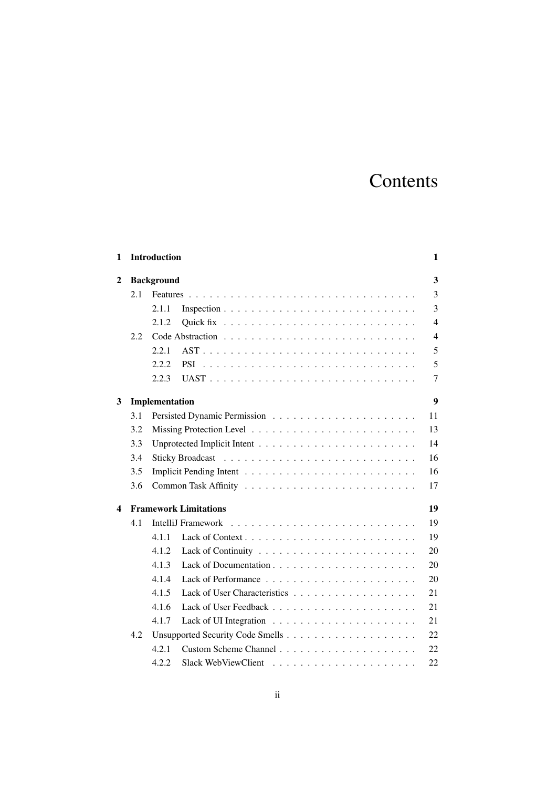# Contents

| 1              |     | <b>Introduction</b>          | 1              |
|----------------|-----|------------------------------|----------------|
| $\overline{2}$ |     | <b>Background</b>            | 3              |
|                | 2.1 |                              | 3              |
|                |     | 2.1.1                        | 3              |
|                |     | 2.1.2                        | $\overline{4}$ |
|                | 2.2 |                              | $\overline{4}$ |
|                |     | 2.2.1                        | 5              |
|                |     | 2.2.2.<br><b>PSI</b>         | 5              |
|                |     | 2.2.3                        | 7              |
| 3              |     | Implementation               | 9              |
|                | 3.1 |                              | 11             |
|                | 3.2 |                              | 13             |
|                | 3.3 |                              | 14             |
|                | 3.4 |                              | 16             |
|                | 3.5 |                              | 16             |
|                | 3.6 |                              | $17\,$         |
| 4              |     | <b>Framework Limitations</b> | 19             |
|                | 4.1 | IntelliJ Framework           | 19             |
|                |     | 4.1.1                        | 19             |
|                |     | 4.1.2                        | 20             |
|                |     | 4.1.3                        | 20             |
|                |     | 4.1.4                        | 20             |
|                |     | 4.1.5                        | 21             |
|                |     | 4.1.6                        | 21             |
|                |     | 4.1.7                        | 21             |
|                | 4.2 |                              | 22             |
|                |     | 4.2.1                        | 22             |
|                |     | 4.2.2                        | 22             |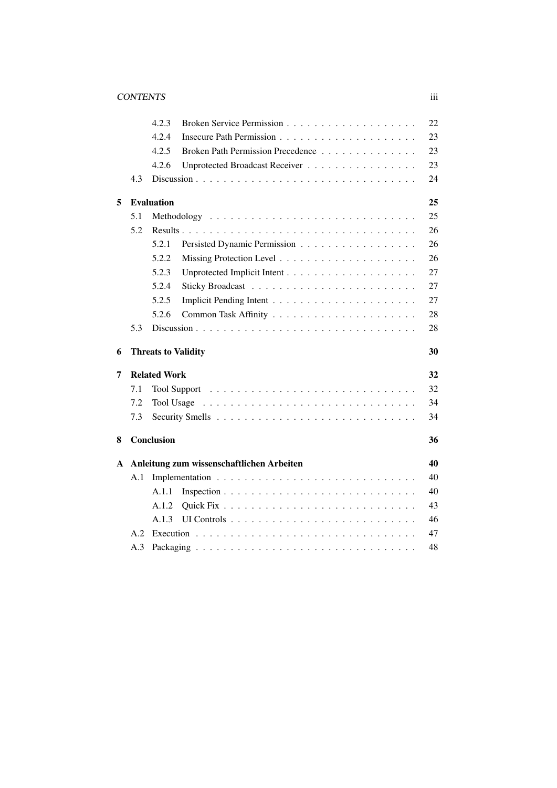|                        |           | 4.2.3                                      | 22 |  |  |  |  |  |
|------------------------|-----------|--------------------------------------------|----|--|--|--|--|--|
|                        |           | 4.2.4                                      | 23 |  |  |  |  |  |
|                        |           | 4.2.5<br>Broken Path Permission Precedence | 23 |  |  |  |  |  |
|                        |           | 4.2.6<br>Unprotected Broadcast Receiver    | 23 |  |  |  |  |  |
|                        | 4.3       |                                            | 24 |  |  |  |  |  |
| <b>Evaluation</b><br>5 |           |                                            |    |  |  |  |  |  |
|                        | 5.1       |                                            | 25 |  |  |  |  |  |
|                        | 5.2       |                                            | 26 |  |  |  |  |  |
|                        |           | Persisted Dynamic Permission<br>5.2.1      | 26 |  |  |  |  |  |
|                        |           | 5.2.2                                      | 26 |  |  |  |  |  |
|                        |           | 5.2.3                                      | 27 |  |  |  |  |  |
|                        |           | 5.2.4                                      | 27 |  |  |  |  |  |
|                        |           | 5.2.5                                      | 27 |  |  |  |  |  |
|                        |           | 5.2.6                                      | 28 |  |  |  |  |  |
|                        | 5.3       |                                            | 28 |  |  |  |  |  |
| 6                      |           | <b>Threats to Validity</b>                 | 30 |  |  |  |  |  |
| 7                      |           | <b>Related Work</b>                        | 32 |  |  |  |  |  |
|                        | 7.1       |                                            | 32 |  |  |  |  |  |
|                        | 7.2       | Tool Usage                                 | 34 |  |  |  |  |  |
|                        | 7.3       |                                            | 34 |  |  |  |  |  |
|                        |           |                                            |    |  |  |  |  |  |
| 8                      |           | Conclusion                                 | 36 |  |  |  |  |  |
| A                      |           | Anleitung zum wissenschaftlichen Arbeiten  | 40 |  |  |  |  |  |
|                        | A.1       |                                            | 40 |  |  |  |  |  |
|                        |           | A.1.1                                      | 40 |  |  |  |  |  |
|                        |           | A.1.2                                      | 43 |  |  |  |  |  |
|                        |           | A.1.3                                      | 46 |  |  |  |  |  |
|                        | 47<br>A.2 |                                            |    |  |  |  |  |  |
|                        | A.3       |                                            |    |  |  |  |  |  |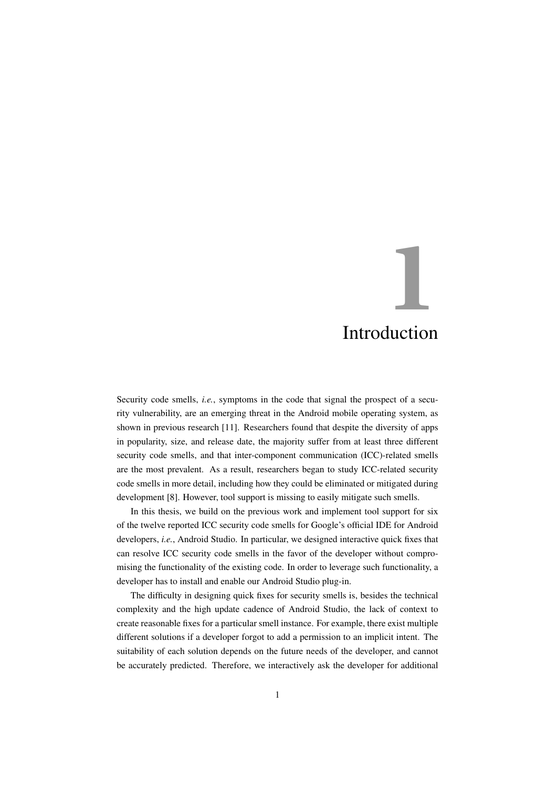# <span id="page-4-0"></span>**1** Introduction

Security code smells, *i.e.*, symptoms in the code that signal the prospect of a security vulnerability, are an emerging threat in the Android mobile operating system, as shown in previous research [\[11\]](#page-41-0). Researchers found that despite the diversity of apps in popularity, size, and release date, the majority suffer from at least three different security code smells, and that inter-component communication (ICC)-related smells are the most prevalent. As a result, researchers began to study ICC-related security code smells in more detail, including how they could be eliminated or mitigated during development [\[8\]](#page-40-0). However, tool support is missing to easily mitigate such smells.

In this thesis, we build on the previous work and implement tool support for six of the twelve reported ICC security code smells for Google's official IDE for Android developers, *i.e.*, Android Studio. In particular, we designed interactive quick fixes that can resolve ICC security code smells in the favor of the developer without compromising the functionality of the existing code. In order to leverage such functionality, a developer has to install and enable our Android Studio plug-in.

The difficulty in designing quick fixes for security smells is, besides the technical complexity and the high update cadence of Android Studio, the lack of context to create reasonable fixes for a particular smell instance. For example, there exist multiple different solutions if a developer forgot to add a permission to an implicit intent. The suitability of each solution depends on the future needs of the developer, and cannot be accurately predicted. Therefore, we interactively ask the developer for additional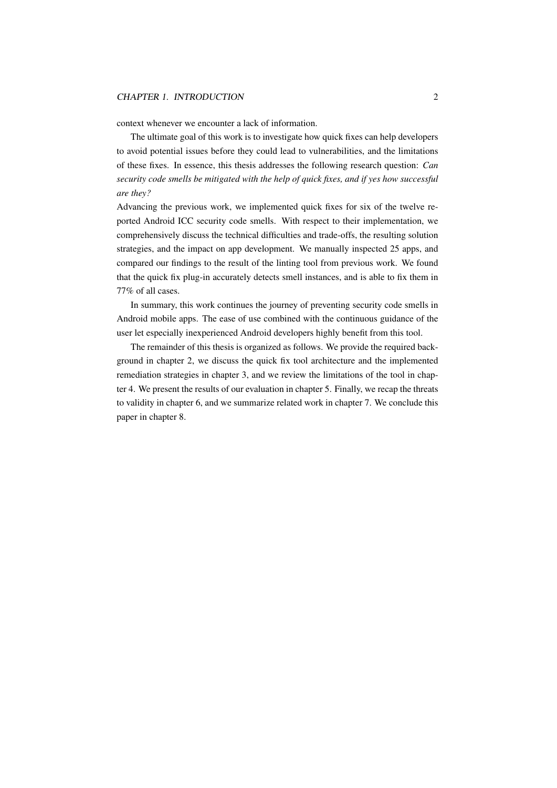#### CHAPTER 1. INTRODUCTION 2

context whenever we encounter a lack of information.

The ultimate goal of this work is to investigate how quick fixes can help developers to avoid potential issues before they could lead to vulnerabilities, and the limitations of these fixes. In essence, this thesis addresses the following research question: *Can security code smells be mitigated with the help of quick fixes, and if yes how successful are they?*

Advancing the previous work, we implemented quick fixes for six of the twelve reported Android ICC security code smells. With respect to their implementation, we comprehensively discuss the technical difficulties and trade-offs, the resulting solution strategies, and the impact on app development. We manually inspected 25 apps, and compared our findings to the result of the linting tool from previous work. We found that the quick fix plug-in accurately detects smell instances, and is able to fix them in 77% of all cases.

In summary, this work continues the journey of preventing security code smells in Android mobile apps. The ease of use combined with the continuous guidance of the user let especially inexperienced Android developers highly benefit from this tool.

The remainder of this thesis is organized as follows. We provide the required background in [chapter 2,](#page-6-0) we discuss the quick fix tool architecture and the implemented remediation strategies in [chapter 3,](#page-12-0) and we review the limitations of the tool in [chap](#page-22-0)[ter 4.](#page-22-0) We present the results of our evaluation in [chapter 5.](#page-28-0) Finally, we recap the threats to validity in [chapter 6,](#page-33-0) and we summarize related work in [chapter 7.](#page-35-0) We conclude this paper in [chapter 8.](#page-39-0)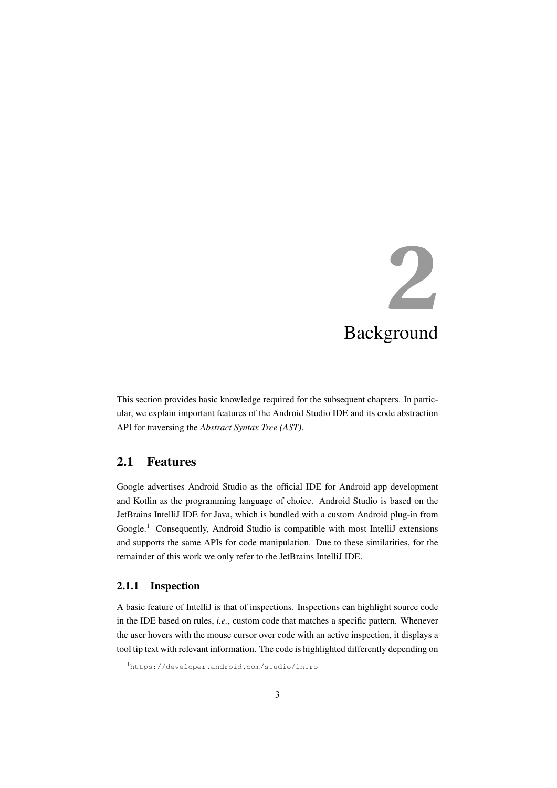# <span id="page-6-0"></span>**2** Background

This section provides basic knowledge required for the subsequent chapters. In particular, we explain important features of the Android Studio IDE and its code abstraction API for traversing the *Abstract Syntax Tree (AST)*.

## <span id="page-6-1"></span>2.1 Features

Google advertises Android Studio as the official IDE for Android app development and Kotlin as the programming language of choice. Android Studio is based on the JetBrains IntelliJ IDE for Java, which is bundled with a custom Android plug-in from Google.<sup>[1](#page-6-3)</sup> Consequently, Android Studio is compatible with most IntelliJ extensions and supports the same APIs for code manipulation. Due to these similarities, for the remainder of this work we only refer to the JetBrains IntelliJ IDE.

#### <span id="page-6-2"></span>2.1.1 Inspection

A basic feature of IntelliJ is that of inspections. Inspections can highlight source code in the IDE based on rules, *i.e.*, custom code that matches a specific pattern. Whenever the user hovers with the mouse cursor over code with an active inspection, it displays a tool tip text with relevant information. The code is highlighted differently depending on

<span id="page-6-3"></span><sup>1</sup><https://developer.android.com/studio/intro>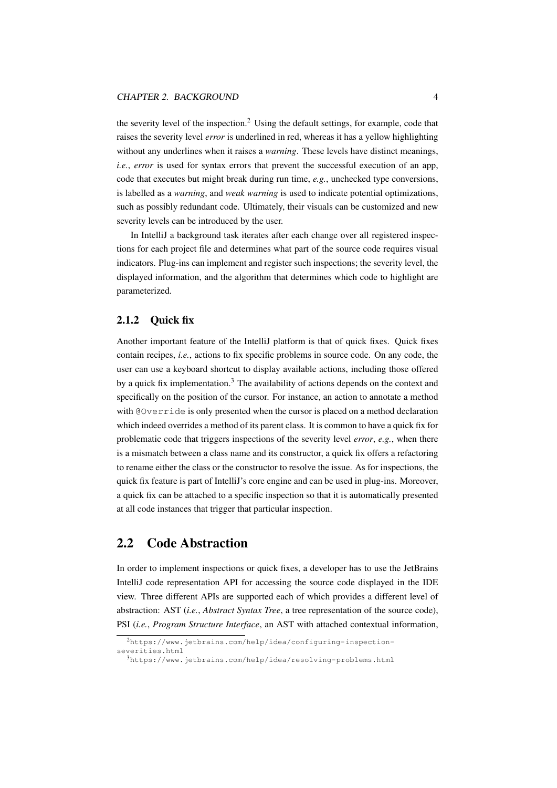the severity level of the inspection.<sup>[2](#page-7-2)</sup> Using the default settings, for example, code that raises the severity level *error* is underlined in red, whereas it has a yellow highlighting without any underlines when it raises a *warning*. These levels have distinct meanings, *i.e.*, *error* is used for syntax errors that prevent the successful execution of an app, code that executes but might break during run time, *e.g.*, unchecked type conversions, is labelled as a *warning*, and *weak warning* is used to indicate potential optimizations, such as possibly redundant code. Ultimately, their visuals can be customized and new severity levels can be introduced by the user.

In IntelliJ a background task iterates after each change over all registered inspections for each project file and determines what part of the source code requires visual indicators. Plug-ins can implement and register such inspections; the severity level, the displayed information, and the algorithm that determines which code to highlight are parameterized.

#### <span id="page-7-0"></span>2.1.2 Quick fix

Another important feature of the IntelliJ platform is that of quick fixes. Quick fixes contain recipes, *i.e.*, actions to fix specific problems in source code. On any code, the user can use a keyboard shortcut to display available actions, including those offered by a quick fix implementation.<sup>[3](#page-7-3)</sup> The availability of actions depends on the context and specifically on the position of the cursor. For instance, an action to annotate a method with @Override is only presented when the cursor is placed on a method declaration which indeed overrides a method of its parent class. It is common to have a quick fix for problematic code that triggers inspections of the severity level *error*, *e.g.*, when there is a mismatch between a class name and its constructor, a quick fix offers a refactoring to rename either the class or the constructor to resolve the issue. As for inspections, the quick fix feature is part of IntelliJ's core engine and can be used in plug-ins. Moreover, a quick fix can be attached to a specific inspection so that it is automatically presented at all code instances that trigger that particular inspection.

### <span id="page-7-1"></span>2.2 Code Abstraction

In order to implement inspections or quick fixes, a developer has to use the JetBrains IntelliJ code representation API for accessing the source code displayed in the IDE view. Three different APIs are supported each of which provides a different level of abstraction: AST (*i.e.*, *Abstract Syntax Tree*, a tree representation of the source code), PSI (*i.e.*, *Program Structure Interface*, an AST with attached contextual information,

<span id="page-7-2"></span><sup>2</sup>[https://www.jetbrains.com/help/idea/configuring-inspection](https://www.jetbrains.com/help/idea/configuring-inspection-severities.html)[severities.html](https://www.jetbrains.com/help/idea/configuring-inspection-severities.html)

<span id="page-7-3"></span><sup>3</sup><https://www.jetbrains.com/help/idea/resolving-problems.html>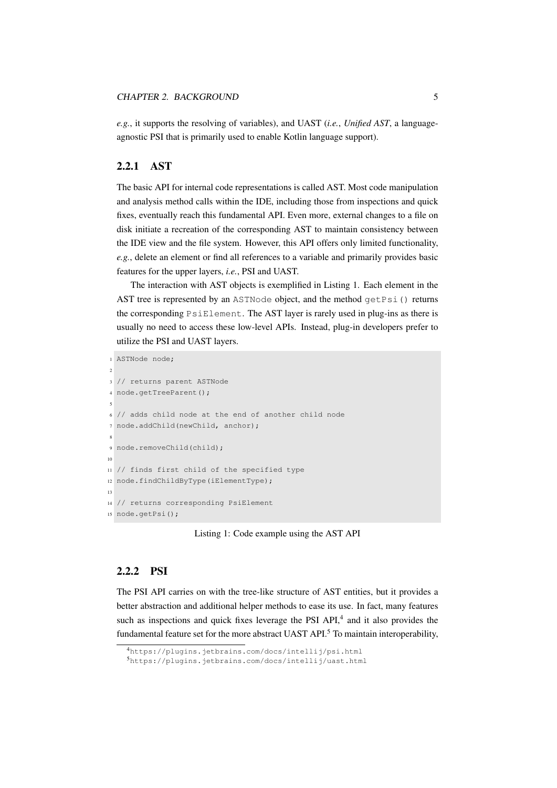*e.g.*, it supports the resolving of variables), and UAST (*i.e.*, *Unified AST*, a languageagnostic PSI that is primarily used to enable Kotlin language support).

#### <span id="page-8-0"></span>2.2.1 AST

The basic API for internal code representations is called AST. Most code manipulation and analysis method calls within the IDE, including those from inspections and quick fixes, eventually reach this fundamental API. Even more, external changes to a file on disk initiate a recreation of the corresponding AST to maintain consistency between the IDE view and the file system. However, this API offers only limited functionality, *e.g.*, delete an element or find all references to a variable and primarily provides basic features for the upper layers, *i.e.*, PSI and UAST.

The interaction with AST objects is exemplified in [Listing 1.](#page-8-2) Each element in the AST tree is represented by an ASTNode object, and the method  $q$ etPsi() returns the corresponding PsiElement. The AST layer is rarely used in plug-ins as there is usually no need to access these low-level APIs. Instead, plug-in developers prefer to utilize the PSI and UAST layers.

```
1 ASTNode node;
```

```
2
3 // returns parent ASTNode
4 node.getTreeParent();
 5
6 // adds child node at the end of another child node
7 node.addChild(newChild, anchor);
 8
9 node.removeChild(child);
10
11 // finds first child of the specified type
12 node.findChildByType(iElementType);
\overline{13}14 // returns corresponding PsiElement
15 node.getPsi();
```
Listing 1: Code example using the AST API

#### <span id="page-8-1"></span>2.2.2 PSI

The PSI API carries on with the tree-like structure of AST entities, but it provides a better abstraction and additional helper methods to ease its use. In fact, many features such as inspections and quick fixes leverage the PSI API,<sup>[4](#page-8-3)</sup> and it also provides the fundamental feature set for the more abstract UAST API.<sup>[5](#page-8-4)</sup> To maintain interoperability,

<span id="page-8-3"></span><sup>4</sup><https://plugins.jetbrains.com/docs/intellij/psi.html>

<span id="page-8-4"></span><sup>5</sup><https://plugins.jetbrains.com/docs/intellij/uast.html>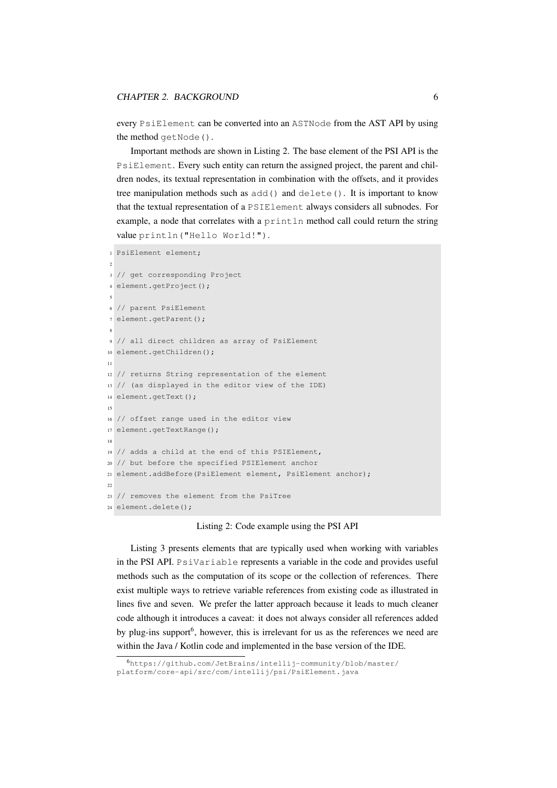every PsiElement can be converted into an ASTNode from the AST API by using the method getNode().

Important methods are shown in [Listing 2.](#page-9-0) The base element of the PSI API is the PsiElement. Every such entity can return the assigned project, the parent and children nodes, its textual representation in combination with the offsets, and it provides tree manipulation methods such as add() and delete(). It is important to know that the textual representation of a PSIElement always considers all subnodes. For example, a node that correlates with a  $printIn$  method call could return the string value println("Hello World!").

```
1 PsiElement element;
2
3 // get corresponding Project
4 element.getProject();
 5
6 // parent PsiElement
7 element.getParent();
 8
9 // all direct children as array of PsiElement
10 element.getChildren();
11
12 // returns String representation of the element
13 // (as displayed in the editor view of the IDE)
14 element.getText();
15
16 // offset range used in the editor view
17 element.getTextRange();
18
19 // adds a child at the end of this PSIElement,
20 // but before the specified PSIElement anchor
21 element.addBefore(PsiElement element, PsiElement anchor);
22
23 // removes the element from the PsiTree
24 element.delete();
```
#### Listing 2: Code example using the PSI API

[Listing 3](#page-10-1) presents elements that are typically used when working with variables in the PSI API. PsiVariable represents a variable in the code and provides useful methods such as the computation of its scope or the collection of references. There exist multiple ways to retrieve variable references from existing code as illustrated in lines five and seven. We prefer the latter approach because it leads to much cleaner code although it introduces a caveat: it does not always consider all references added by plug-ins support<sup>[6](#page-9-1)</sup>, however, this is irrelevant for us as the references we need are within the Java / Kotlin code and implemented in the base version of the IDE.

<span id="page-9-1"></span><sup>6</sup>[https://github.com/JetBrains/intellij-community/blob/master/](https://github.com/JetBrains/intellij-community/blob/master/platform/core-api/src/com/intellij/psi/PsiElement.java) [platform/core-api/src/com/intellij/psi/PsiElement.java](https://github.com/JetBrains/intellij-community/blob/master/platform/core-api/src/com/intellij/psi/PsiElement.java)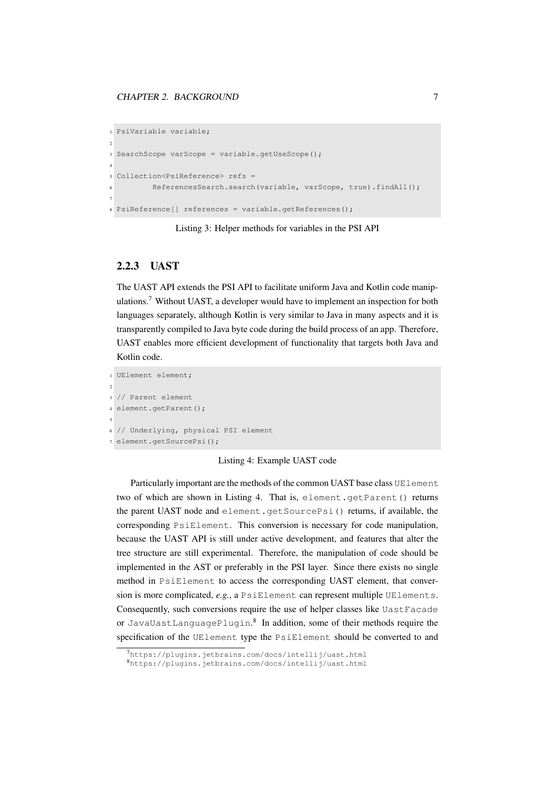```
1 PsiVariable variable;
\overline{2}3 SearchScope varScope = variable.getUseScope();
4
5 Collection<PsiReference> refs =
6 ReferencesSearch.search(variable, varScope, true).findAll();
7
8 PsiReference[] references = variable.getReferences();
```
Listing 3: Helper methods for variables in the PSI API

#### <span id="page-10-0"></span>2.2.3 UAST

The UAST API extends the PSI API to facilitate uniform Java and Kotlin code manipulations.[7](#page-10-2) Without UAST, a developer would have to implement an inspection for both languages separately, although Kotlin is very similar to Java in many aspects and it is transparently compiled to Java byte code during the build process of an app. Therefore, UAST enables more efficient development of functionality that targets both Java and Kotlin code.

```
1 UElement element;
2
3 // Parent element
4 element.getParent();
5
6 // Underlying, physical PSI element
7 element.getSourcePsi();
```
#### Listing 4: Example UAST code

Particularly important are the methods of the common UAST base class UE lement two of which are shown in [Listing 4.](#page-10-3) That is, element.getParent() returns the parent UAST node and element.getSourcePsi() returns, if available, the corresponding PsiElement. This conversion is necessary for code manipulation, because the UAST API is still under active development, and features that alter the tree structure are still experimental. Therefore, the manipulation of code should be implemented in the AST or preferably in the PSI layer. Since there exists no single method in PsiElement to access the corresponding UAST element, that conversion is more complicated, *e.g.*, a PsiElement can represent multiple UElements. Consequently, such conversions require the use of helper classes like UastFacade or JavaUastLanguagePlugin.[8](#page-10-4) In addition, some of their methods require the specification of the UElement type the PsiElement should be converted to and

<span id="page-10-2"></span><sup>7</sup><https://plugins.jetbrains.com/docs/intellij/uast.html>

<span id="page-10-4"></span><sup>8</sup><https://plugins.jetbrains.com/docs/intellij/uast.html>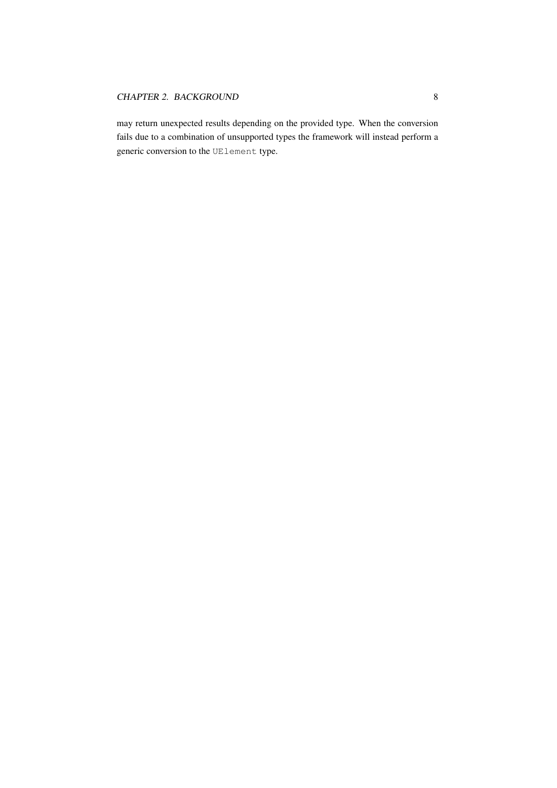may return unexpected results depending on the provided type. When the conversion fails due to a combination of unsupported types the framework will instead perform a generic conversion to the UElement type.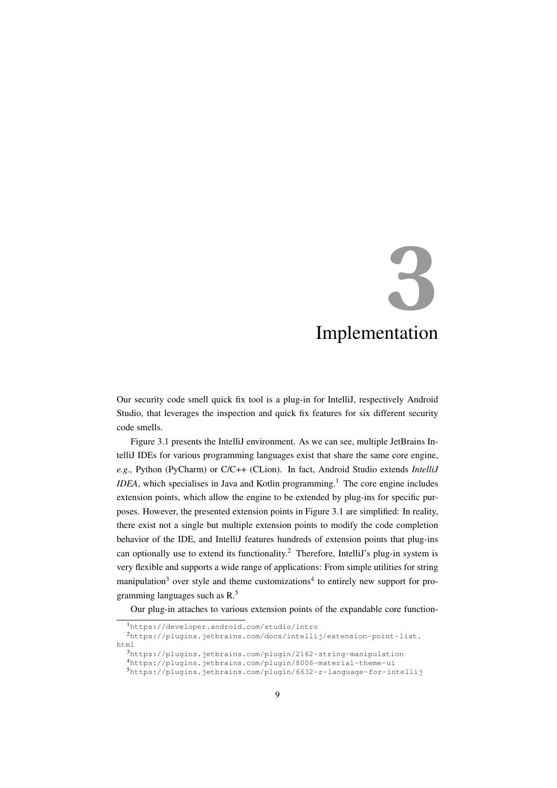# <span id="page-12-0"></span>**3** Implementation

Our security code smell quick fix tool is a plug-in for IntelliJ, respectively Android Studio, that leverages the inspection and quick fix features for six different security code smells.

[Figure 3.1](#page-13-0) presents the IntelliJ environment. As we can see, multiple JetBrains IntelliJ IDEs for various programming languages exist that share the same core engine, *e.g.*, Python (PyCharm) or C/C++ (CLion). In fact, Android Studio extends *IntelliJ*  $IDEA$ , which specialises in Java and Kotlin programming.<sup>[1](#page-12-1)</sup> The core engine includes extension points, which allow the engine to be extended by plug-ins for specific purposes. However, the presented extension points in [Figure 3.1](#page-13-0) are simplified: In reality, there exist not a single but multiple extension points to modify the code completion behavior of the IDE, and IntelliJ features hundreds of extension points that plug-ins can optionally use to extend its functionality.<sup>[2](#page-12-2)</sup> Therefore, IntelliJ's plug-in system is very flexible and supports a wide range of applications: From simple utilities for string manipulation<sup>[3](#page-12-3)</sup> over style and theme customizations<sup>[4](#page-12-4)</sup> to entirely new support for programming languages such as  $R<sup>5</sup>$  $R<sup>5</sup>$  $R<sup>5</sup>$ 

Our plug-in attaches to various extension points of the expandable core function-

<span id="page-12-2"></span><span id="page-12-1"></span><sup>1</sup><https://developer.android.com/studio/intro> <sup>2</sup>[https://plugins.jetbrains.com/docs/intellij/extension-point-list.](https://plugins.jetbrains.com/docs/intellij/extension-point-list.html) [html](https://plugins.jetbrains.com/docs/intellij/extension-point-list.html) <sup>3</sup><https://plugins.jetbrains.com/plugin/2162-string-manipulation> <sup>4</sup><https://plugins.jetbrains.com/plugin/8006-material-theme-ui>

<span id="page-12-5"></span><span id="page-12-4"></span><span id="page-12-3"></span><sup>5</sup><https://plugins.jetbrains.com/plugin/6632-r-language-for-intellij>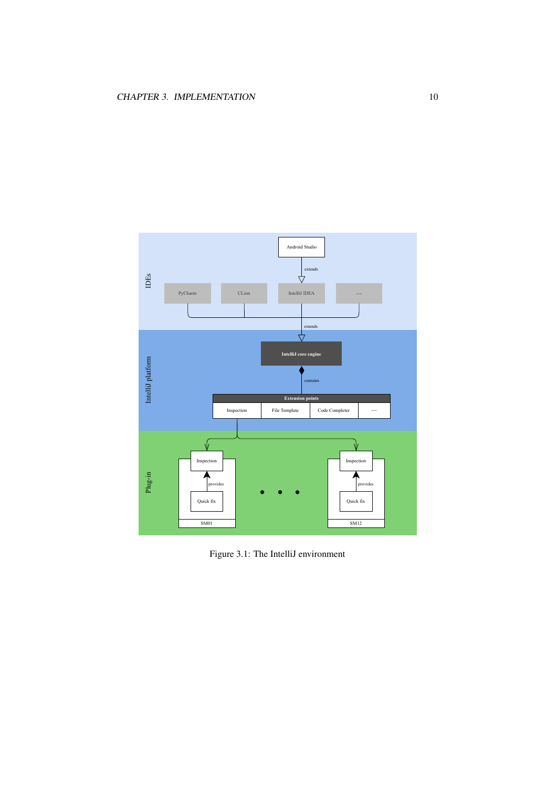

<span id="page-13-0"></span>Figure 3.1: The IntelliJ environment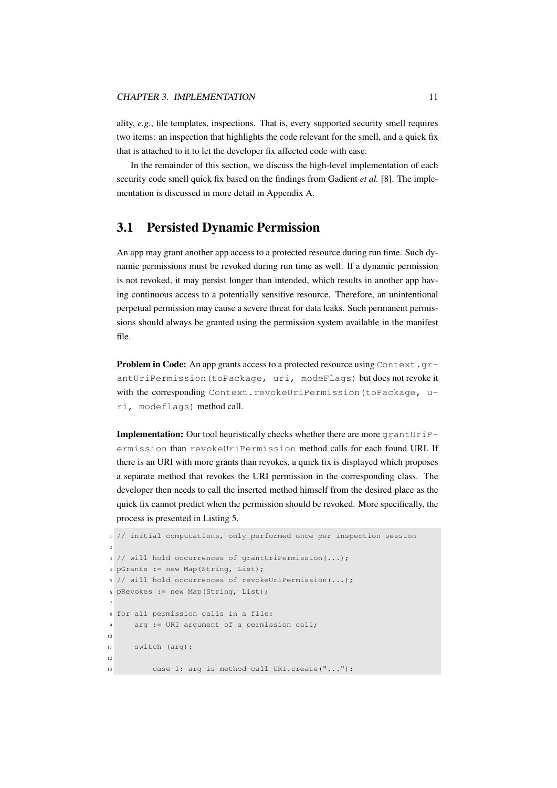ality, *e.g.*, file templates, inspections. That is, every supported security smell requires two items: an inspection that highlights the code relevant for the smell, and a quick fix that is attached to it to let the developer fix affected code with ease.

In the remainder of this section, we discuss the high-level implementation of each security code smell quick fix based on the findings from Gadient *et al.* [\[8\]](#page-40-0). The implementation is discussed in more detail in [Appendix A.](#page-43-0)

# <span id="page-14-0"></span>3.1 Persisted Dynamic Permission

An app may grant another app access to a protected resource during run time. Such dynamic permissions must be revoked during run time as well. If a dynamic permission is not revoked, it may persist longer than intended, which results in another app having continuous access to a potentially sensitive resource. Therefore, an unintentional perpetual permission may cause a severe threat for data leaks. Such permanent permissions should always be granted using the permission system available in the manifest file.

**Problem in Code:** An app grants access to a protected resource using Context.grantUriPermission(toPackage, uri, modeFlags) but does not revoke it with the corresponding Context.revokeUriPermission(toPackage, uri, modeflags) method call.

Implementation: Our tool heuristically checks whether there are more grantUriPermission than revokeUriPermission method calls for each found URI. If there is an URI with more grants than revokes, a quick fix is displayed which proposes a separate method that revokes the URI permission in the corresponding class. The developer then needs to call the inserted method himself from the desired place as the quick fix cannot predict when the permission should be revoked. More specifically, the process is presented in [Listing 5.](#page-14-1)

```
1 // initial computations, only performed once per inspection session
\overline{\phantom{a}}3 // will hold occurrences of grantUriPermission(...);
4 pGrants := new Map(String, List);
5 // will hold occurrences of revokeUriPermission(...);
6 pRevokes := new Map(String, List);
7
8 for all permission calls in a file:
9 arg := URI argument of a permission call;
10
11 switch (arg):
12
13 case 1: arg is method call URI.create("..."):
```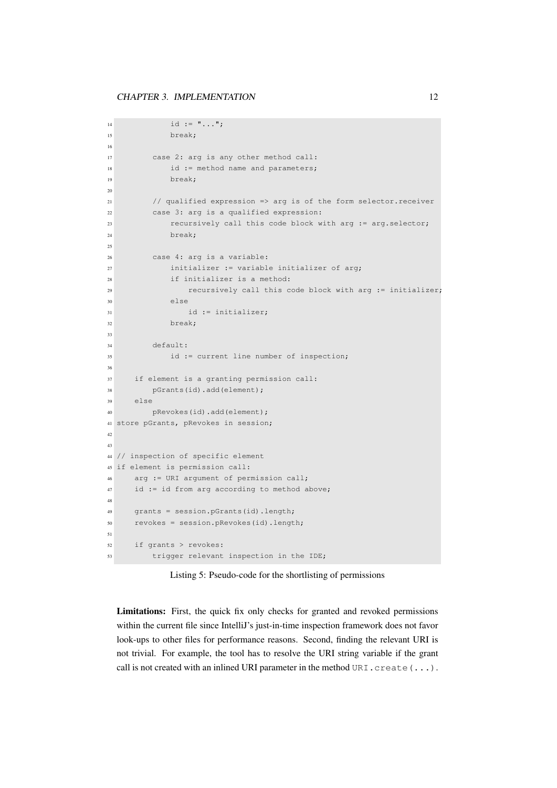```
14 id := " \dots";
15 break;
16
17 case 2: arg is any other method call:
18 id := method name and parameters;
19 break;
2021 // qualified expression => arg is of the form selector.receiver
22 case 3: arg is a qualified expression:
23 recursively call this code block with arg := arg.selector;
24 break;
2526 case 4: arg is a variable:
27 initializer := variable initializer of arg;
28 if initializer is a method:
29 recursively call this code block with arg := initializer;
30 else
31 id := initializer;
32 break;
33
34 default:
35 id := current line number of inspection;
36
37 if element is a granting permission call:
38 pGrants(id).add(element);
30 else
40 pRevokes(id).add(element);
41 store pGrants, pRevokes in session;
42
43
44 // inspection of specific element
45 if element is permission call:
46 arg := URI argument of permission call;
47 id := id from arg according to method above;
48
49 grants = session.pGrants(id).length;
50 revokes = session.pRevokes(id).length;
51
52 if grants > revokes:
53 trigger relevant inspection in the IDE;
```
Listing 5: Pseudo-code for the shortlisting of permissions

Limitations: First, the quick fix only checks for granted and revoked permissions within the current file since IntelliJ's just-in-time inspection framework does not favor look-ups to other files for performance reasons. Second, finding the relevant URI is not trivial. For example, the tool has to resolve the URI string variable if the grant call is not created with an inlined URI parameter in the method URI.create(...).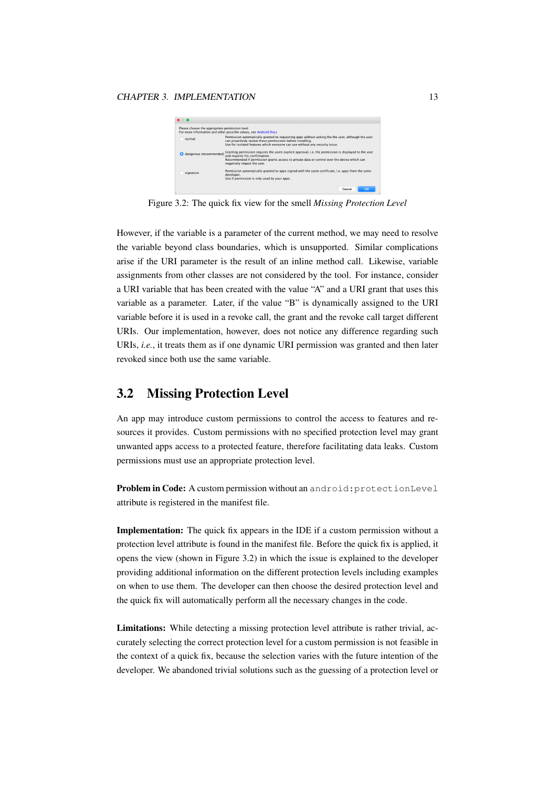

<span id="page-16-1"></span>Figure 3.2: The quick fix view for the smell *Missing Protection Level*

However, if the variable is a parameter of the current method, we may need to resolve the variable beyond class boundaries, which is unsupported. Similar complications arise if the URI parameter is the result of an inline method call. Likewise, variable assignments from other classes are not considered by the tool. For instance, consider a URI variable that has been created with the value "A" and a URI grant that uses this variable as a parameter. Later, if the value "B" is dynamically assigned to the URI variable before it is used in a revoke call, the grant and the revoke call target different URIs. Our implementation, however, does not notice any difference regarding such URIs, *i.e.*, it treats them as if one dynamic URI permission was granted and then later revoked since both use the same variable.

### <span id="page-16-0"></span>3.2 Missing Protection Level

An app may introduce custom permissions to control the access to features and resources it provides. Custom permissions with no specified protection level may grant unwanted apps access to a protected feature, therefore facilitating data leaks. Custom permissions must use an appropriate protection level.

Problem in Code: A custom permission without an android: protectionLevel attribute is registered in the manifest file.

Implementation: The quick fix appears in the IDE if a custom permission without a protection level attribute is found in the manifest file. Before the quick fix is applied, it opens the view (shown in [Figure 3.2\)](#page-16-1) in which the issue is explained to the developer providing additional information on the different protection levels including examples on when to use them. The developer can then choose the desired protection level and the quick fix will automatically perform all the necessary changes in the code.

Limitations: While detecting a missing protection level attribute is rather trivial, accurately selecting the correct protection level for a custom permission is not feasible in the context of a quick fix, because the selection varies with the future intention of the developer. We abandoned trivial solutions such as the guessing of a protection level or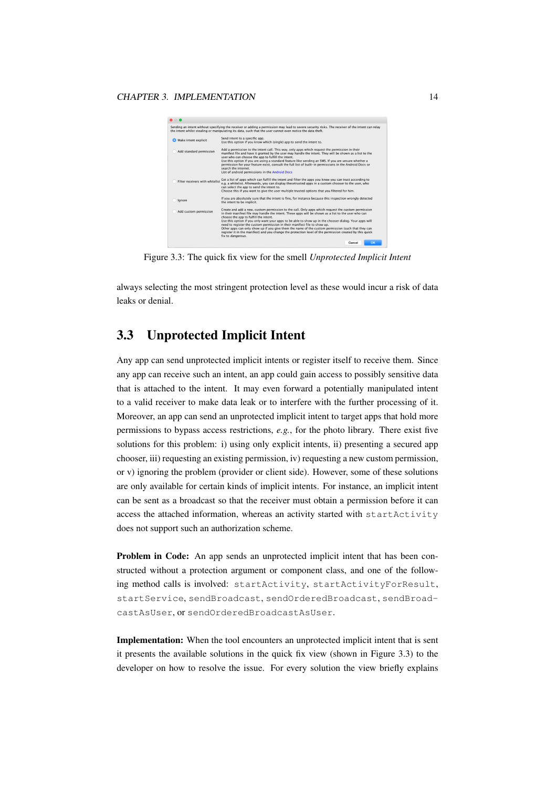

Figure 3.3: The quick fix view for the smell *Unprotected Implicit Intent*

<span id="page-17-1"></span>always selecting the most stringent protection level as these would incur a risk of data leaks or denial.

## <span id="page-17-0"></span>3.3 Unprotected Implicit Intent

Any app can send unprotected implicit intents or register itself to receive them. Since any app can receive such an intent, an app could gain access to possibly sensitive data that is attached to the intent. It may even forward a potentially manipulated intent to a valid receiver to make data leak or to interfere with the further processing of it. Moreover, an app can send an unprotected implicit intent to target apps that hold more permissions to bypass access restrictions, *e.g.*, for the photo library. There exist five solutions for this problem: i) using only explicit intents, ii) presenting a secured app chooser, iii) requesting an existing permission, iv) requesting a new custom permission, or v) ignoring the problem (provider or client side). However, some of these solutions are only available for certain kinds of implicit intents. For instance, an implicit intent can be sent as a broadcast so that the receiver must obtain a permission before it can access the attached information, whereas an activity started with startActivity does not support such an authorization scheme.

Problem in Code: An app sends an unprotected implicit intent that has been constructed without a protection argument or component class, and one of the following method calls is involved: startActivity, startActivityForResult, startService, sendBroadcast, sendOrderedBroadcast, sendBroadcastAsUser, or sendOrderedBroadcastAsUser.

Implementation: When the tool encounters an unprotected implicit intent that is sent it presents the available solutions in the quick fix view (shown in [Figure 3.3\)](#page-17-1) to the developer on how to resolve the issue. For every solution the view briefly explains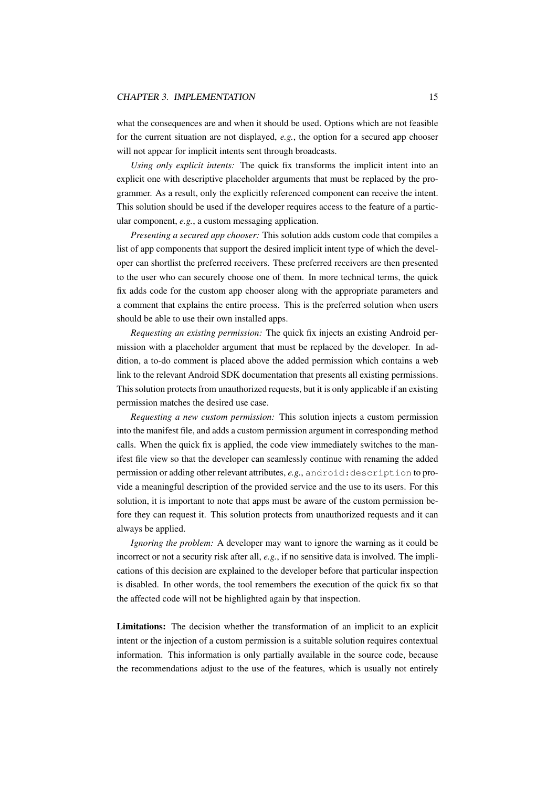what the consequences are and when it should be used. Options which are not feasible for the current situation are not displayed, *e.g.*, the option for a secured app chooser will not appear for implicit intents sent through broadcasts.

*Using only explicit intents:* The quick fix transforms the implicit intent into an explicit one with descriptive placeholder arguments that must be replaced by the programmer. As a result, only the explicitly referenced component can receive the intent. This solution should be used if the developer requires access to the feature of a particular component, *e.g.*, a custom messaging application.

*Presenting a secured app chooser:* This solution adds custom code that compiles a list of app components that support the desired implicit intent type of which the developer can shortlist the preferred receivers. These preferred receivers are then presented to the user who can securely choose one of them. In more technical terms, the quick fix adds code for the custom app chooser along with the appropriate parameters and a comment that explains the entire process. This is the preferred solution when users should be able to use their own installed apps.

*Requesting an existing permission:* The quick fix injects an existing Android permission with a placeholder argument that must be replaced by the developer. In addition, a to-do comment is placed above the added permission which contains a web link to the relevant Android SDK documentation that presents all existing permissions. This solution protects from unauthorized requests, but it is only applicable if an existing permission matches the desired use case.

*Requesting a new custom permission:* This solution injects a custom permission into the manifest file, and adds a custom permission argument in corresponding method calls. When the quick fix is applied, the code view immediately switches to the manifest file view so that the developer can seamlessly continue with renaming the added permission or adding other relevant attributes, e.g., android: description to provide a meaningful description of the provided service and the use to its users. For this solution, it is important to note that apps must be aware of the custom permission before they can request it. This solution protects from unauthorized requests and it can always be applied.

*Ignoring the problem:* A developer may want to ignore the warning as it could be incorrect or not a security risk after all, *e.g.*, if no sensitive data is involved. The implications of this decision are explained to the developer before that particular inspection is disabled. In other words, the tool remembers the execution of the quick fix so that the affected code will not be highlighted again by that inspection.

Limitations: The decision whether the transformation of an implicit to an explicit intent or the injection of a custom permission is a suitable solution requires contextual information. This information is only partially available in the source code, because the recommendations adjust to the use of the features, which is usually not entirely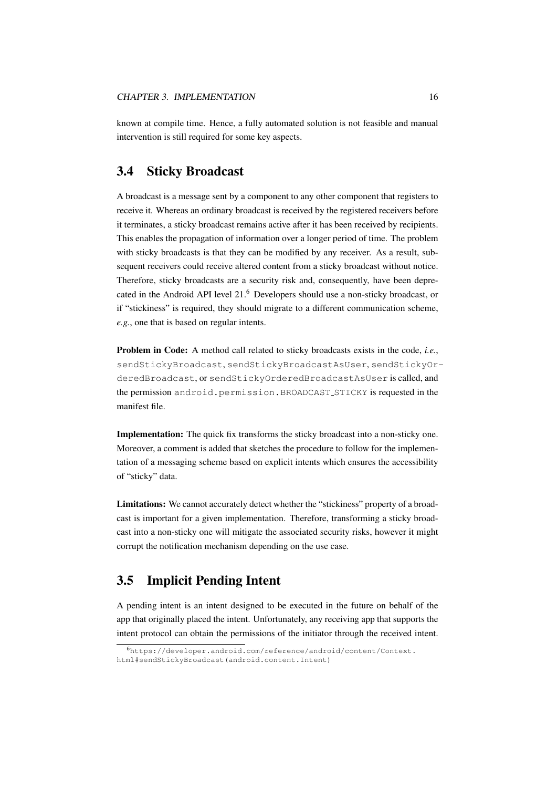known at compile time. Hence, a fully automated solution is not feasible and manual intervention is still required for some key aspects.

# <span id="page-19-0"></span>3.4 Sticky Broadcast

A broadcast is a message sent by a component to any other component that registers to receive it. Whereas an ordinary broadcast is received by the registered receivers before it terminates, a sticky broadcast remains active after it has been received by recipients. This enables the propagation of information over a longer period of time. The problem with sticky broadcasts is that they can be modified by any receiver. As a result, subsequent receivers could receive altered content from a sticky broadcast without notice. Therefore, sticky broadcasts are a security risk and, consequently, have been deprecated in the Android API level 21.[6](#page-19-2) Developers should use a non-sticky broadcast, or if "stickiness" is required, they should migrate to a different communication scheme, *e.g.*, one that is based on regular intents.

Problem in Code: A method call related to sticky broadcasts exists in the code, *i.e.*, sendStickyBroadcast, sendStickyBroadcastAsUser, sendStickyOrderedBroadcast, or sendStickyOrderedBroadcastAsUser is called, and the permission android.permission.BROADCAST STICKY is requested in the manifest file.

Implementation: The quick fix transforms the sticky broadcast into a non-sticky one. Moreover, a comment is added that sketches the procedure to follow for the implementation of a messaging scheme based on explicit intents which ensures the accessibility of "sticky" data.

Limitations: We cannot accurately detect whether the "stickiness" property of a broadcast is important for a given implementation. Therefore, transforming a sticky broadcast into a non-sticky one will mitigate the associated security risks, however it might corrupt the notification mechanism depending on the use case.

## <span id="page-19-1"></span>3.5 Implicit Pending Intent

A pending intent is an intent designed to be executed in the future on behalf of the app that originally placed the intent. Unfortunately, any receiving app that supports the intent protocol can obtain the permissions of the initiator through the received intent.

<span id="page-19-2"></span><sup>6</sup>[https://developer.android.com/reference/android/content/Context.](https://developer.android.com/reference/android/content/Context.html#sendStickyBroadcast(android.content.Intent)) [html#sendStickyBroadcast\(android.content.Intent\)](https://developer.android.com/reference/android/content/Context.html#sendStickyBroadcast(android.content.Intent))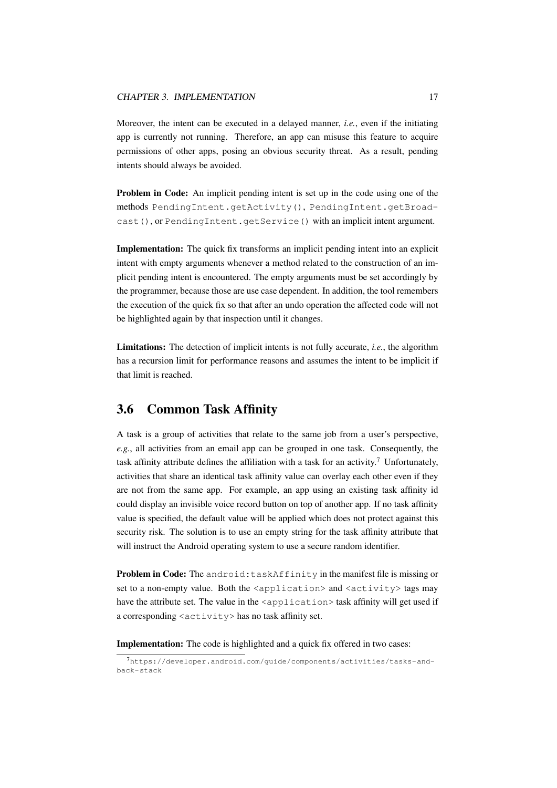Moreover, the intent can be executed in a delayed manner, *i.e.*, even if the initiating app is currently not running. Therefore, an app can misuse this feature to acquire permissions of other apps, posing an obvious security threat. As a result, pending intents should always be avoided.

Problem in Code: An implicit pending intent is set up in the code using one of the methods PendingIntent.getActivity(), PendingIntent.getBroadcast(), or PendingIntent.getService() with an implicit intent argument.

Implementation: The quick fix transforms an implicit pending intent into an explicit intent with empty arguments whenever a method related to the construction of an implicit pending intent is encountered. The empty arguments must be set accordingly by the programmer, because those are use case dependent. In addition, the tool remembers the execution of the quick fix so that after an undo operation the affected code will not be highlighted again by that inspection until it changes.

Limitations: The detection of implicit intents is not fully accurate, *i.e.*, the algorithm has a recursion limit for performance reasons and assumes the intent to be implicit if that limit is reached.

# <span id="page-20-0"></span>3.6 Common Task Affinity

A task is a group of activities that relate to the same job from a user's perspective, *e.g.*, all activities from an email app can be grouped in one task. Consequently, the task affinity attribute defines the affiliation with a task for an activity.<sup>[7](#page-20-1)</sup> Unfortunately, activities that share an identical task affinity value can overlay each other even if they are not from the same app. For example, an app using an existing task affinity id could display an invisible voice record button on top of another app. If no task affinity value is specified, the default value will be applied which does not protect against this security risk. The solution is to use an empty string for the task affinity attribute that will instruct the Android operating system to use a secure random identifier.

Problem in Code: The android: taskAffinity in the manifest file is missing or set to a non-empty value. Both the <application> and <activity> tags may have the attribute set. The value in the  $\langle$ application $\rangle$  task affinity will get used if a corresponding <activity> has no task affinity set.

Implementation: The code is highlighted and a quick fix offered in two cases:

<span id="page-20-1"></span><sup>7</sup>[https://developer.android.com/guide/components/activities/tasks-and](https://developer.android.com/guide/components/activities/tasks-and-back-stack)[back-stack](https://developer.android.com/guide/components/activities/tasks-and-back-stack)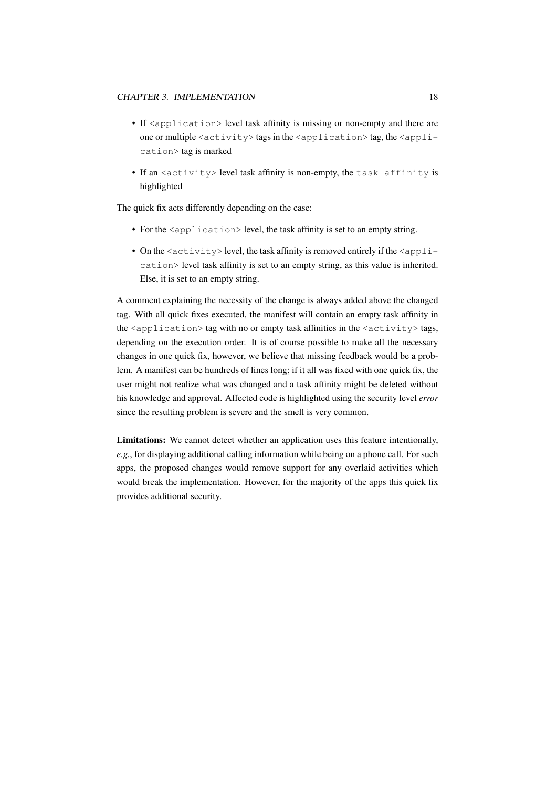#### CHAPTER 3. IMPLEMENTATION 18

- If  $\langle$ application $\rangle$  level task affinity is missing or non-empty and there are one or multiple <activity> tags in the <application> tag, the <application> tag is marked
- If an <activity> level task affinity is non-empty, the task affinity is highlighted

The quick fix acts differently depending on the case:

- For the  $\langle$ application> level, the task affinity is set to an empty string.
- On the  $\langle \text{activity} \rangle$  level, the task affinity is removed entirely if the  $\langle \text{apply} \rangle$ cation> level task affinity is set to an empty string, as this value is inherited. Else, it is set to an empty string.

A comment explaining the necessity of the change is always added above the changed tag. With all quick fixes executed, the manifest will contain an empty task affinity in the  $\langle$  application $\rangle$  tag with no or empty task affinities in the  $\langle$  activity $\rangle$  tags, depending on the execution order. It is of course possible to make all the necessary changes in one quick fix, however, we believe that missing feedback would be a problem. A manifest can be hundreds of lines long; if it all was fixed with one quick fix, the user might not realize what was changed and a task affinity might be deleted without his knowledge and approval. Affected code is highlighted using the security level *error* since the resulting problem is severe and the smell is very common.

Limitations: We cannot detect whether an application uses this feature intentionally, *e.g.*, for displaying additional calling information while being on a phone call. For such apps, the proposed changes would remove support for any overlaid activities which would break the implementation. However, for the majority of the apps this quick fix provides additional security.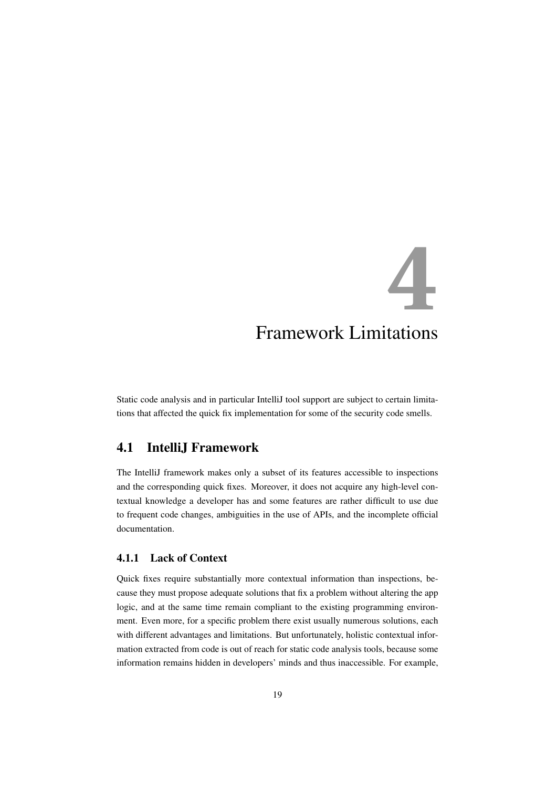# <span id="page-22-0"></span>**4** Framework Limitations

Static code analysis and in particular IntelliJ tool support are subject to certain limitations that affected the quick fix implementation for some of the security code smells.

# <span id="page-22-1"></span>4.1 IntelliJ Framework

The IntelliJ framework makes only a subset of its features accessible to inspections and the corresponding quick fixes. Moreover, it does not acquire any high-level contextual knowledge a developer has and some features are rather difficult to use due to frequent code changes, ambiguities in the use of APIs, and the incomplete official documentation.

### <span id="page-22-2"></span>4.1.1 Lack of Context

Quick fixes require substantially more contextual information than inspections, because they must propose adequate solutions that fix a problem without altering the app logic, and at the same time remain compliant to the existing programming environment. Even more, for a specific problem there exist usually numerous solutions, each with different advantages and limitations. But unfortunately, holistic contextual information extracted from code is out of reach for static code analysis tools, because some information remains hidden in developers' minds and thus inaccessible. For example,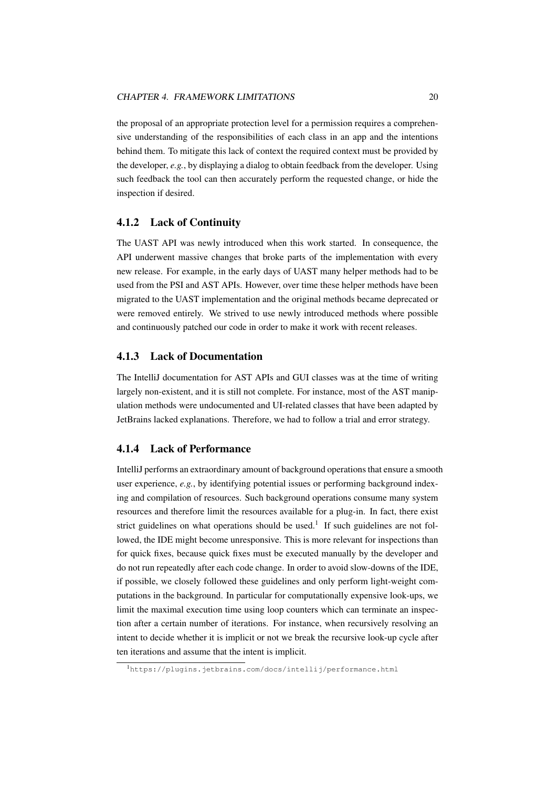the proposal of an appropriate protection level for a permission requires a comprehensive understanding of the responsibilities of each class in an app and the intentions behind them. To mitigate this lack of context the required context must be provided by the developer, *e.g.*, by displaying a dialog to obtain feedback from the developer. Using such feedback the tool can then accurately perform the requested change, or hide the inspection if desired.

#### <span id="page-23-0"></span>4.1.2 Lack of Continuity

The UAST API was newly introduced when this work started. In consequence, the API underwent massive changes that broke parts of the implementation with every new release. For example, in the early days of UAST many helper methods had to be used from the PSI and AST APIs. However, over time these helper methods have been migrated to the UAST implementation and the original methods became deprecated or were removed entirely. We strived to use newly introduced methods where possible and continuously patched our code in order to make it work with recent releases.

#### <span id="page-23-1"></span>4.1.3 Lack of Documentation

The IntelliJ documentation for AST APIs and GUI classes was at the time of writing largely non-existent, and it is still not complete. For instance, most of the AST manipulation methods were undocumented and UI-related classes that have been adapted by JetBrains lacked explanations. Therefore, we had to follow a trial and error strategy.

#### <span id="page-23-2"></span>4.1.4 Lack of Performance

IntelliJ performs an extraordinary amount of background operations that ensure a smooth user experience, *e.g.*, by identifying potential issues or performing background indexing and compilation of resources. Such background operations consume many system resources and therefore limit the resources available for a plug-in. In fact, there exist strict guidelines on what operations should be used.<sup>[1](#page-23-3)</sup> If such guidelines are not followed, the IDE might become unresponsive. This is more relevant for inspections than for quick fixes, because quick fixes must be executed manually by the developer and do not run repeatedly after each code change. In order to avoid slow-downs of the IDE, if possible, we closely followed these guidelines and only perform light-weight computations in the background. In particular for computationally expensive look-ups, we limit the maximal execution time using loop counters which can terminate an inspection after a certain number of iterations. For instance, when recursively resolving an intent to decide whether it is implicit or not we break the recursive look-up cycle after ten iterations and assume that the intent is implicit.

<span id="page-23-3"></span><sup>1</sup><https://plugins.jetbrains.com/docs/intellij/performance.html>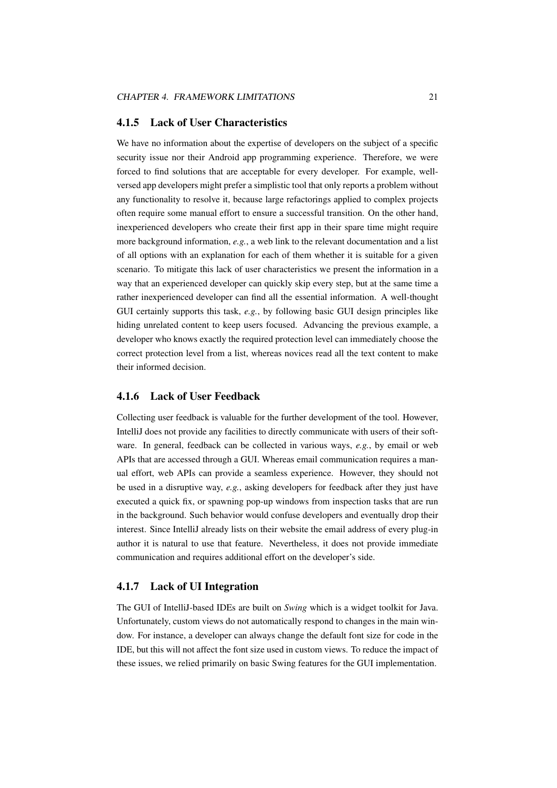#### <span id="page-24-0"></span>4.1.5 Lack of User Characteristics

We have no information about the expertise of developers on the subject of a specific security issue nor their Android app programming experience. Therefore, we were forced to find solutions that are acceptable for every developer. For example, wellversed app developers might prefer a simplistic tool that only reports a problem without any functionality to resolve it, because large refactorings applied to complex projects often require some manual effort to ensure a successful transition. On the other hand, inexperienced developers who create their first app in their spare time might require more background information, *e.g.*, a web link to the relevant documentation and a list of all options with an explanation for each of them whether it is suitable for a given scenario. To mitigate this lack of user characteristics we present the information in a way that an experienced developer can quickly skip every step, but at the same time a rather inexperienced developer can find all the essential information. A well-thought GUI certainly supports this task, *e.g.*, by following basic GUI design principles like hiding unrelated content to keep users focused. Advancing the previous example, a developer who knows exactly the required protection level can immediately choose the correct protection level from a list, whereas novices read all the text content to make their informed decision.

#### <span id="page-24-1"></span>4.1.6 Lack of User Feedback

Collecting user feedback is valuable for the further development of the tool. However, IntelliJ does not provide any facilities to directly communicate with users of their software. In general, feedback can be collected in various ways, *e.g.*, by email or web APIs that are accessed through a GUI. Whereas email communication requires a manual effort, web APIs can provide a seamless experience. However, they should not be used in a disruptive way, *e.g.*, asking developers for feedback after they just have executed a quick fix, or spawning pop-up windows from inspection tasks that are run in the background. Such behavior would confuse developers and eventually drop their interest. Since IntelliJ already lists on their website the email address of every plug-in author it is natural to use that feature. Nevertheless, it does not provide immediate communication and requires additional effort on the developer's side.

#### <span id="page-24-2"></span>4.1.7 Lack of UI Integration

The GUI of IntelliJ-based IDEs are built on *Swing* which is a widget toolkit for Java. Unfortunately, custom views do not automatically respond to changes in the main window. For instance, a developer can always change the default font size for code in the IDE, but this will not affect the font size used in custom views. To reduce the impact of these issues, we relied primarily on basic Swing features for the GUI implementation.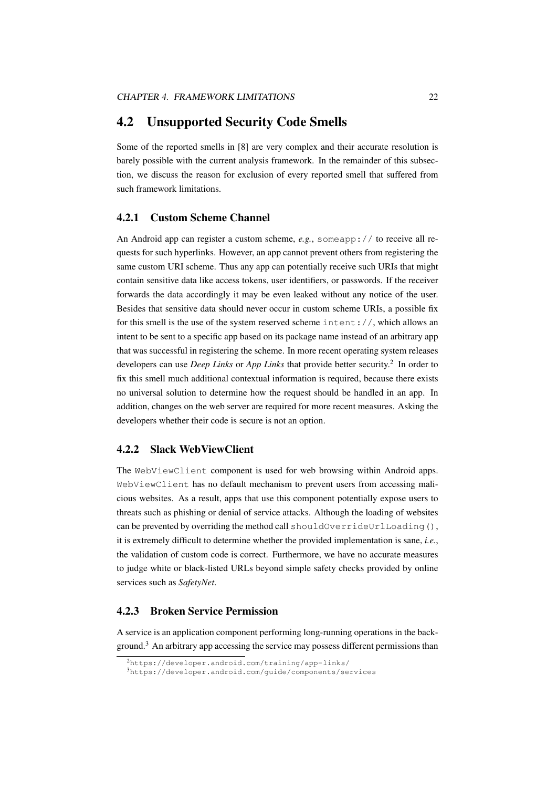#### <span id="page-25-0"></span>4.2 Unsupported Security Code Smells

Some of the reported smells in [\[8\]](#page-40-0) are very complex and their accurate resolution is barely possible with the current analysis framework. In the remainder of this subsection, we discuss the reason for exclusion of every reported smell that suffered from such framework limitations.

#### <span id="page-25-1"></span>4.2.1 Custom Scheme Channel

An Android app can register a custom scheme, *e.g.*, someapp:// to receive all requests for such hyperlinks. However, an app cannot prevent others from registering the same custom URI scheme. Thus any app can potentially receive such URIs that might contain sensitive data like access tokens, user identifiers, or passwords. If the receiver forwards the data accordingly it may be even leaked without any notice of the user. Besides that sensitive data should never occur in custom scheme URIs, a possible fix for this smell is the use of the system reserved scheme intent://, which allows an intent to be sent to a specific app based on its package name instead of an arbitrary app that was successful in registering the scheme. In more recent operating system releases developers can use *Deep Links* or *App Links* that provide better security.<sup>[2](#page-25-4)</sup> In order to fix this smell much additional contextual information is required, because there exists no universal solution to determine how the request should be handled in an app. In addition, changes on the web server are required for more recent measures. Asking the developers whether their code is secure is not an option.

#### <span id="page-25-2"></span>4.2.2 Slack WebViewClient

The WebViewClient component is used for web browsing within Android apps. WebViewClient has no default mechanism to prevent users from accessing malicious websites. As a result, apps that use this component potentially expose users to threats such as phishing or denial of service attacks. Although the loading of websites can be prevented by overriding the method call shouldOverrideUrlLoading(), it is extremely difficult to determine whether the provided implementation is sane, *i.e.*, the validation of custom code is correct. Furthermore, we have no accurate measures to judge white or black-listed URLs beyond simple safety checks provided by online services such as *SafetyNet*.

#### <span id="page-25-3"></span>4.2.3 Broken Service Permission

A service is an application component performing long-running operations in the back-ground.<sup>[3](#page-25-5)</sup> An arbitrary app accessing the service may possess different permissions than

<span id="page-25-4"></span><sup>2</sup><https://developer.android.com/training/app-links/>

<span id="page-25-5"></span><sup>3</sup><https://developer.android.com/guide/components/services>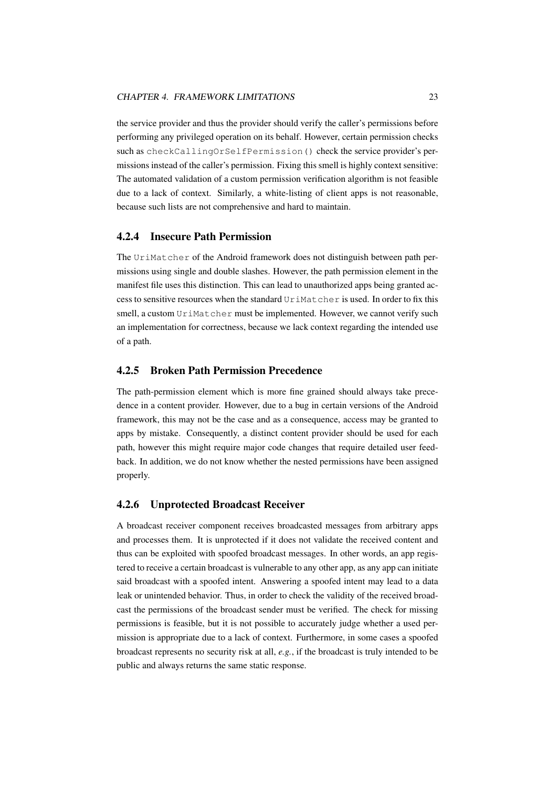the service provider and thus the provider should verify the caller's permissions before performing any privileged operation on its behalf. However, certain permission checks such as checkCallingOrSelfPermission() check the service provider's permissions instead of the caller's permission. Fixing this smell is highly context sensitive: The automated validation of a custom permission verification algorithm is not feasible due to a lack of context. Similarly, a white-listing of client apps is not reasonable, because such lists are not comprehensive and hard to maintain.

#### <span id="page-26-0"></span>4.2.4 Insecure Path Permission

The UriMatcher of the Android framework does not distinguish between path permissions using single and double slashes. However, the path permission element in the manifest file uses this distinction. This can lead to unauthorized apps being granted access to sensitive resources when the standard UriMatcher is used. In order to fix this smell, a custom UriMatcher must be implemented. However, we cannot verify such an implementation for correctness, because we lack context regarding the intended use of a path.

#### <span id="page-26-1"></span>4.2.5 Broken Path Permission Precedence

The path-permission element which is more fine grained should always take precedence in a content provider. However, due to a bug in certain versions of the Android framework, this may not be the case and as a consequence, access may be granted to apps by mistake. Consequently, a distinct content provider should be used for each path, however this might require major code changes that require detailed user feedback. In addition, we do not know whether the nested permissions have been assigned properly.

#### <span id="page-26-2"></span>4.2.6 Unprotected Broadcast Receiver

A broadcast receiver component receives broadcasted messages from arbitrary apps and processes them. It is unprotected if it does not validate the received content and thus can be exploited with spoofed broadcast messages. In other words, an app registered to receive a certain broadcast is vulnerable to any other app, as any app can initiate said broadcast with a spoofed intent. Answering a spoofed intent may lead to a data leak or unintended behavior. Thus, in order to check the validity of the received broadcast the permissions of the broadcast sender must be verified. The check for missing permissions is feasible, but it is not possible to accurately judge whether a used permission is appropriate due to a lack of context. Furthermore, in some cases a spoofed broadcast represents no security risk at all, *e.g.*, if the broadcast is truly intended to be public and always returns the same static response.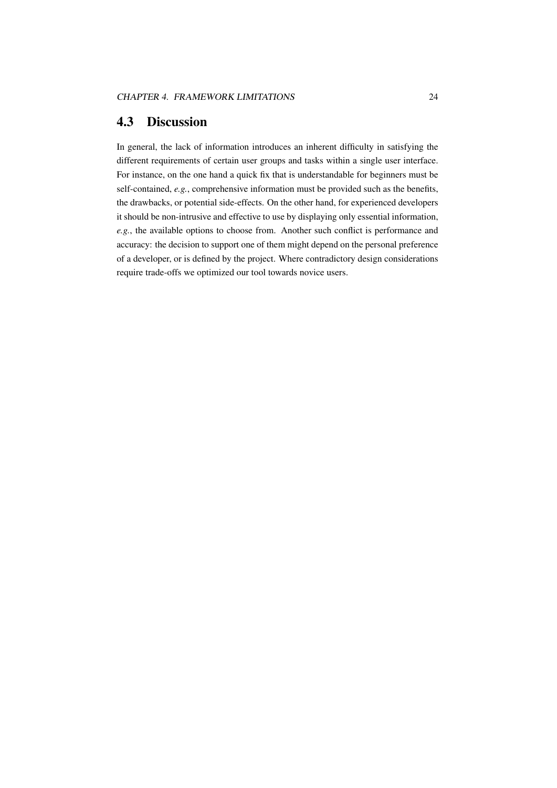### <span id="page-27-0"></span>4.3 Discussion

In general, the lack of information introduces an inherent difficulty in satisfying the different requirements of certain user groups and tasks within a single user interface. For instance, on the one hand a quick fix that is understandable for beginners must be self-contained, *e.g.*, comprehensive information must be provided such as the benefits, the drawbacks, or potential side-effects. On the other hand, for experienced developers it should be non-intrusive and effective to use by displaying only essential information, *e.g.*, the available options to choose from. Another such conflict is performance and accuracy: the decision to support one of them might depend on the personal preference of a developer, or is defined by the project. Where contradictory design considerations require trade-offs we optimized our tool towards novice users.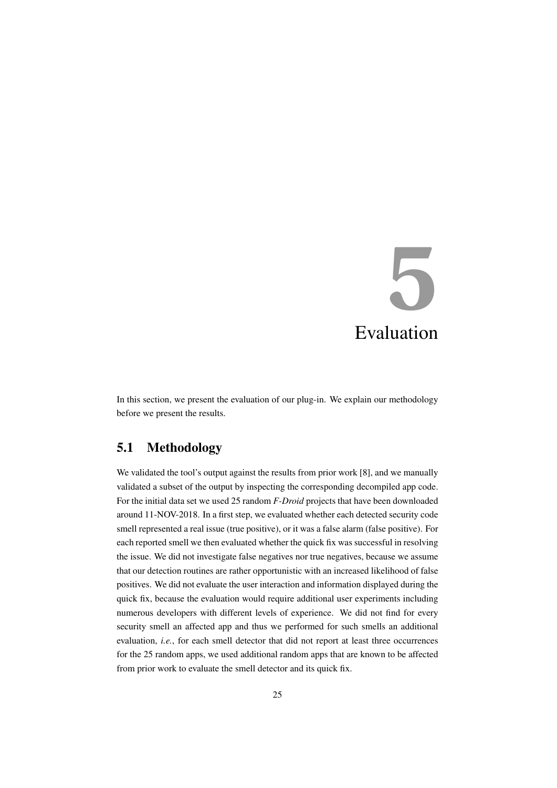# <span id="page-28-0"></span>**5** Evaluation

In this section, we present the evaluation of our plug-in. We explain our methodology before we present the results.

# <span id="page-28-1"></span>5.1 Methodology

We validated the tool's output against the results from prior work [\[8\]](#page-40-0), and we manually validated a subset of the output by inspecting the corresponding decompiled app code. For the initial data set we used 25 random *F-Droid* projects that have been downloaded around 11-NOV-2018. In a first step, we evaluated whether each detected security code smell represented a real issue (true positive), or it was a false alarm (false positive). For each reported smell we then evaluated whether the quick fix was successful in resolving the issue. We did not investigate false negatives nor true negatives, because we assume that our detection routines are rather opportunistic with an increased likelihood of false positives. We did not evaluate the user interaction and information displayed during the quick fix, because the evaluation would require additional user experiments including numerous developers with different levels of experience. We did not find for every security smell an affected app and thus we performed for such smells an additional evaluation, *i.e.*, for each smell detector that did not report at least three occurrences for the 25 random apps, we used additional random apps that are known to be affected from prior work to evaluate the smell detector and its quick fix.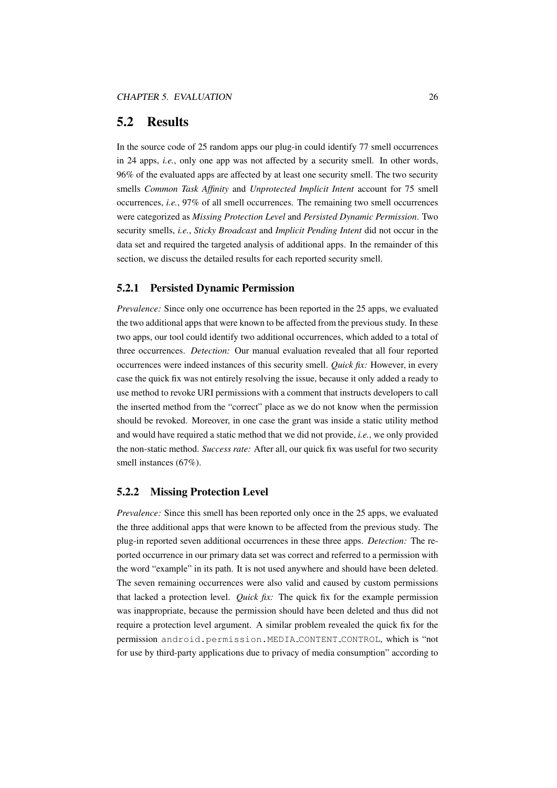### <span id="page-29-0"></span>5.2 Results

In the source code of 25 random apps our plug-in could identify 77 smell occurrences in 24 apps, *i.e.*, only one app was not affected by a security smell. In other words, 96% of the evaluated apps are affected by at least one security smell. The two security smells *Common Task Affinity* and *Unprotected Implicit Intent* account for 75 smell occurrences, *i.e.*, 97% of all smell occurrences. The remaining two smell occurrences were categorized as *Missing Protection Level* and *Persisted Dynamic Permission*. Two security smells, *i.e.*, *Sticky Broadcast* and *Implicit Pending Intent* did not occur in the data set and required the targeted analysis of additional apps. In the remainder of this section, we discuss the detailed results for each reported security smell.

#### <span id="page-29-1"></span>5.2.1 Persisted Dynamic Permission

*Prevalence:* Since only one occurrence has been reported in the 25 apps, we evaluated the two additional apps that were known to be affected from the previous study. In these two apps, our tool could identify two additional occurrences, which added to a total of three occurrences. *Detection:* Our manual evaluation revealed that all four reported occurrences were indeed instances of this security smell. *Quick fix:* However, in every case the quick fix was not entirely resolving the issue, because it only added a ready to use method to revoke URI permissions with a comment that instructs developers to call the inserted method from the "correct" place as we do not know when the permission should be revoked. Moreover, in one case the grant was inside a static utility method and would have required a static method that we did not provide, *i.e.*, we only provided the non-static method. *Success rate:* After all, our quick fix was useful for two security smell instances (67%).

#### <span id="page-29-2"></span>5.2.2 Missing Protection Level

*Prevalence:* Since this smell has been reported only once in the 25 apps, we evaluated the three additional apps that were known to be affected from the previous study. The plug-in reported seven additional occurrences in these three apps. *Detection:* The reported occurrence in our primary data set was correct and referred to a permission with the word "example" in its path. It is not used anywhere and should have been deleted. The seven remaining occurrences were also valid and caused by custom permissions that lacked a protection level. *Quick fix:* The quick fix for the example permission was inappropriate, because the permission should have been deleted and thus did not require a protection level argument. A similar problem revealed the quick fix for the permission android.permission.MEDIA CONTENT CONTROL, which is "not for use by third-party applications due to privacy of media consumption" according to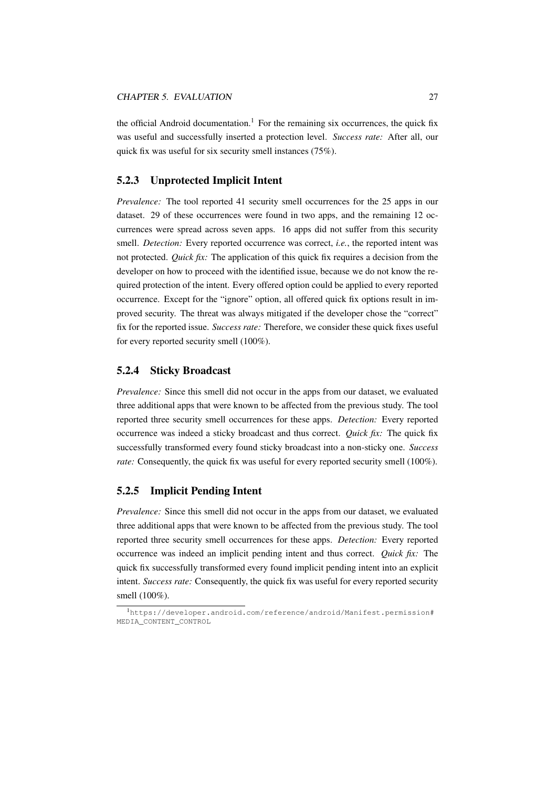the official Android documentation.<sup>[1](#page-30-3)</sup> For the remaining six occurrences, the quick fix was useful and successfully inserted a protection level. *Success rate:* After all, our quick fix was useful for six security smell instances (75%).

#### <span id="page-30-0"></span>5.2.3 Unprotected Implicit Intent

*Prevalence:* The tool reported 41 security smell occurrences for the 25 apps in our dataset. 29 of these occurrences were found in two apps, and the remaining 12 occurrences were spread across seven apps. 16 apps did not suffer from this security smell. *Detection:* Every reported occurrence was correct, *i.e.*, the reported intent was not protected. *Quick fix:* The application of this quick fix requires a decision from the developer on how to proceed with the identified issue, because we do not know the required protection of the intent. Every offered option could be applied to every reported occurrence. Except for the "ignore" option, all offered quick fix options result in improved security. The threat was always mitigated if the developer chose the "correct" fix for the reported issue. *Success rate:* Therefore, we consider these quick fixes useful for every reported security smell (100%).

#### <span id="page-30-1"></span>5.2.4 Sticky Broadcast

*Prevalence:* Since this smell did not occur in the apps from our dataset, we evaluated three additional apps that were known to be affected from the previous study. The tool reported three security smell occurrences for these apps. *Detection:* Every reported occurrence was indeed a sticky broadcast and thus correct. *Quick fix:* The quick fix successfully transformed every found sticky broadcast into a non-sticky one. *Success rate:* Consequently, the quick fix was useful for every reported security smell (100%).

#### <span id="page-30-2"></span>5.2.5 Implicit Pending Intent

*Prevalence:* Since this smell did not occur in the apps from our dataset, we evaluated three additional apps that were known to be affected from the previous study. The tool reported three security smell occurrences for these apps. *Detection:* Every reported occurrence was indeed an implicit pending intent and thus correct. *Quick fix:* The quick fix successfully transformed every found implicit pending intent into an explicit intent. *Success rate:* Consequently, the quick fix was useful for every reported security smell (100%).

<span id="page-30-3"></span><sup>1</sup>[https://developer.android.com/reference/android/Manifest.permission#](https://developer.android.com/reference/android/Manifest.permission#MEDIA_CONTENT_CONTROL) [MEDIA\\_CONTENT\\_CONTROL](https://developer.android.com/reference/android/Manifest.permission#MEDIA_CONTENT_CONTROL)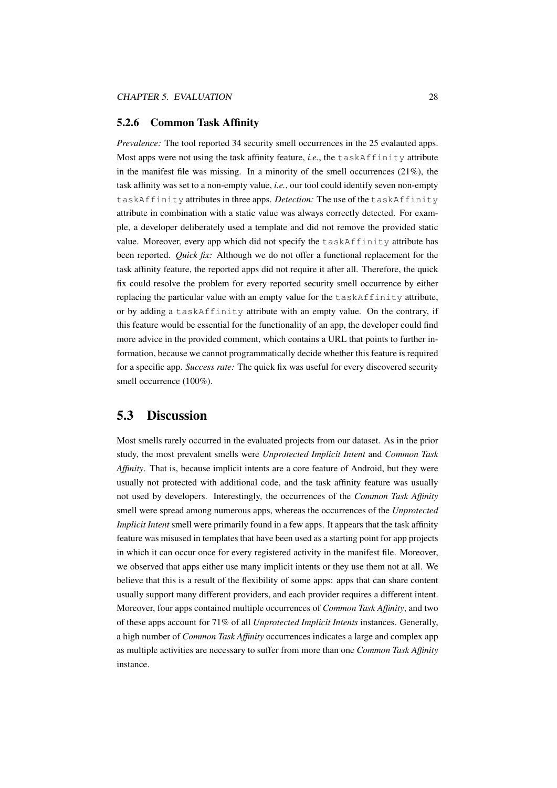#### <span id="page-31-0"></span>5.2.6 Common Task Affinity

*Prevalence:* The tool reported 34 security smell occurrences in the 25 evalauted apps. Most apps were not using the task affinity feature, *i.e.*, the taskAffinity attribute in the manifest file was missing. In a minority of the smell occurrences  $(21\%)$ , the task affinity was set to a non-empty value, *i.e.*, our tool could identify seven non-empty taskAffinity attributes in three apps. *Detection:* The use of the taskAffinity attribute in combination with a static value was always correctly detected. For example, a developer deliberately used a template and did not remove the provided static value. Moreover, every app which did not specify the taskAffinity attribute has been reported. *Quick fix:* Although we do not offer a functional replacement for the task affinity feature, the reported apps did not require it after all. Therefore, the quick fix could resolve the problem for every reported security smell occurrence by either replacing the particular value with an empty value for the taskAffinity attribute, or by adding a taskAffinity attribute with an empty value. On the contrary, if this feature would be essential for the functionality of an app, the developer could find more advice in the provided comment, which contains a URL that points to further information, because we cannot programmatically decide whether this feature is required for a specific app. *Success rate:* The quick fix was useful for every discovered security smell occurrence (100%).

### <span id="page-31-1"></span>5.3 Discussion

Most smells rarely occurred in the evaluated projects from our dataset. As in the prior study, the most prevalent smells were *Unprotected Implicit Intent* and *Common Task Affinity*. That is, because implicit intents are a core feature of Android, but they were usually not protected with additional code, and the task affinity feature was usually not used by developers. Interestingly, the occurrences of the *Common Task Affinity* smell were spread among numerous apps, whereas the occurrences of the *Unprotected Implicit Intent* smell were primarily found in a few apps. It appears that the task affinity feature was misused in templates that have been used as a starting point for app projects in which it can occur once for every registered activity in the manifest file. Moreover, we observed that apps either use many implicit intents or they use them not at all. We believe that this is a result of the flexibility of some apps: apps that can share content usually support many different providers, and each provider requires a different intent. Moreover, four apps contained multiple occurrences of *Common Task Affinity*, and two of these apps account for 71% of all *Unprotected Implicit Intents* instances. Generally, a high number of *Common Task Affinity* occurrences indicates a large and complex app as multiple activities are necessary to suffer from more than one *Common Task Affinity* instance.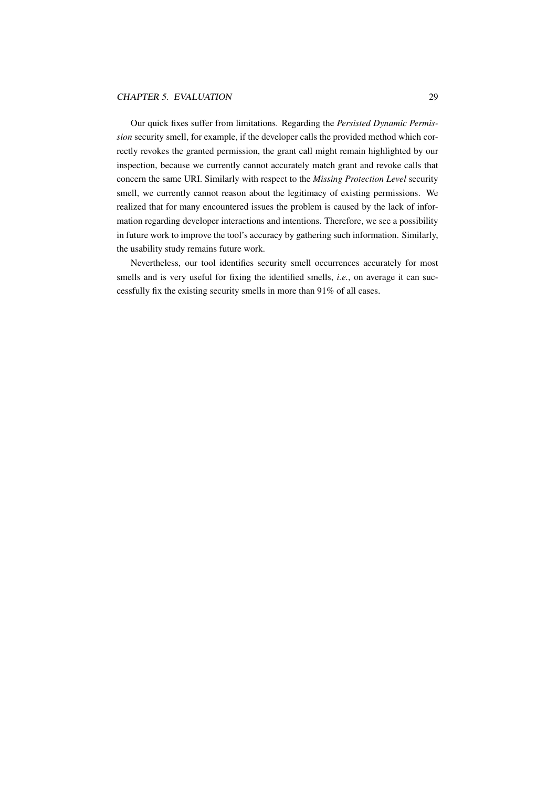Our quick fixes suffer from limitations. Regarding the *Persisted Dynamic Permission* security smell, for example, if the developer calls the provided method which correctly revokes the granted permission, the grant call might remain highlighted by our inspection, because we currently cannot accurately match grant and revoke calls that concern the same URI. Similarly with respect to the *Missing Protection Level* security smell, we currently cannot reason about the legitimacy of existing permissions. We realized that for many encountered issues the problem is caused by the lack of information regarding developer interactions and intentions. Therefore, we see a possibility in future work to improve the tool's accuracy by gathering such information. Similarly, the usability study remains future work.

Nevertheless, our tool identifies security smell occurrences accurately for most smells and is very useful for fixing the identified smells, *i.e.*, on average it can successfully fix the existing security smells in more than 91% of all cases.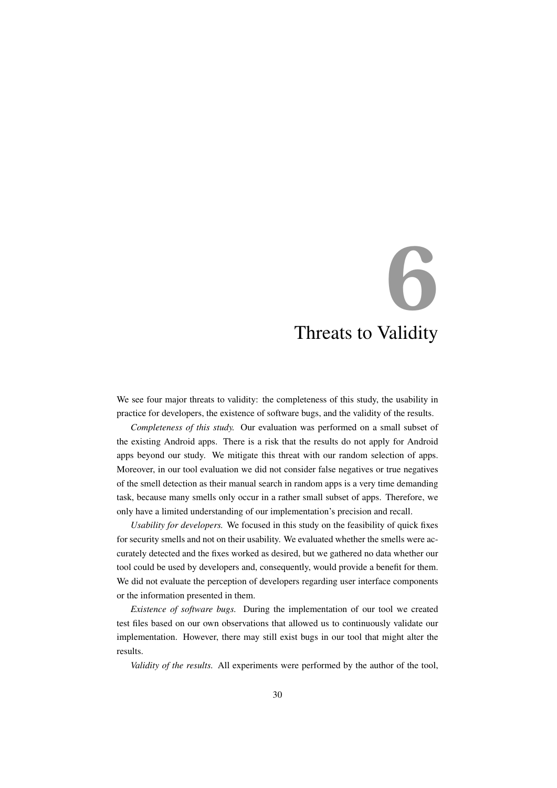# <span id="page-33-0"></span>**6** Threats to Validity

We see four major threats to validity: the completeness of this study, the usability in practice for developers, the existence of software bugs, and the validity of the results.

*Completeness of this study.* Our evaluation was performed on a small subset of the existing Android apps. There is a risk that the results do not apply for Android apps beyond our study. We mitigate this threat with our random selection of apps. Moreover, in our tool evaluation we did not consider false negatives or true negatives of the smell detection as their manual search in random apps is a very time demanding task, because many smells only occur in a rather small subset of apps. Therefore, we only have a limited understanding of our implementation's precision and recall.

*Usability for developers.* We focused in this study on the feasibility of quick fixes for security smells and not on their usability. We evaluated whether the smells were accurately detected and the fixes worked as desired, but we gathered no data whether our tool could be used by developers and, consequently, would provide a benefit for them. We did not evaluate the perception of developers regarding user interface components or the information presented in them.

*Existence of software bugs.* During the implementation of our tool we created test files based on our own observations that allowed us to continuously validate our implementation. However, there may still exist bugs in our tool that might alter the results.

*Validity of the results.* All experiments were performed by the author of the tool,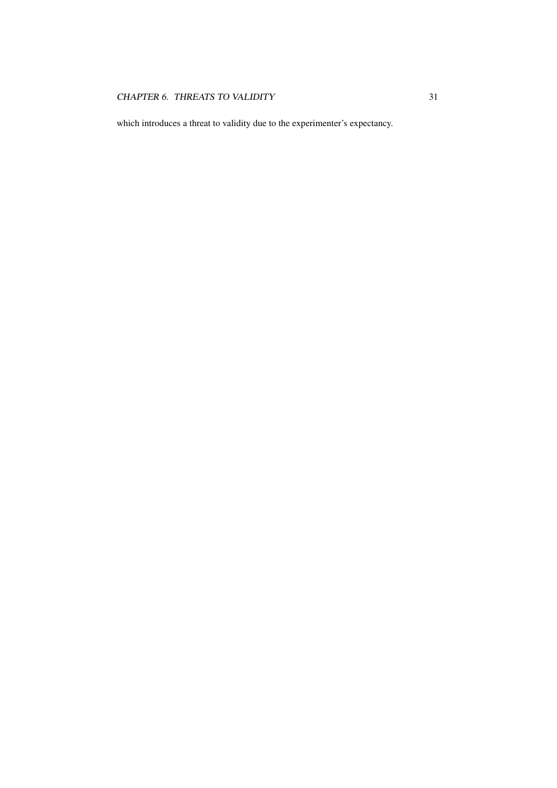which introduces a threat to validity due to the experimenter's expectancy.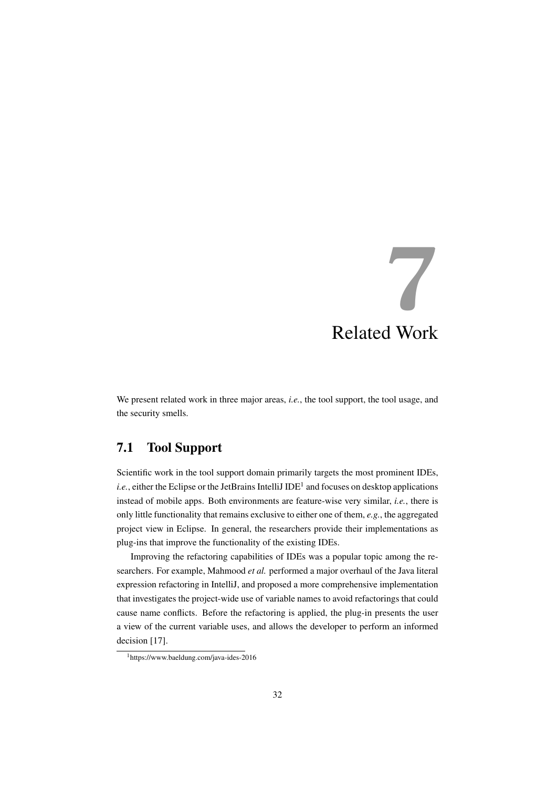# <span id="page-35-0"></span>**7** Related Work

We present related work in three major areas, *i.e.*, the tool support, the tool usage, and the security smells.

# <span id="page-35-1"></span>7.1 Tool Support

Scientific work in the tool support domain primarily targets the most prominent IDEs, i.e., either the Eclipse or the JetBrains IntelliJ IDE<sup>[1](#page-35-2)</sup> and focuses on desktop applications instead of mobile apps. Both environments are feature-wise very similar, *i.e.*, there is only little functionality that remains exclusive to either one of them, *e.g.*, the aggregated project view in Eclipse. In general, the researchers provide their implementations as plug-ins that improve the functionality of the existing IDEs.

Improving the refactoring capabilities of IDEs was a popular topic among the researchers. For example, Mahmood *et al.* performed a major overhaul of the Java literal expression refactoring in IntelliJ, and proposed a more comprehensive implementation that investigates the project-wide use of variable names to avoid refactorings that could cause name conflicts. Before the refactoring is applied, the plug-in presents the user a view of the current variable uses, and allows the developer to perform an informed decision [\[17\]](#page-41-1).

<span id="page-35-2"></span><sup>1</sup>https://www.baeldung.com/java-ides-2016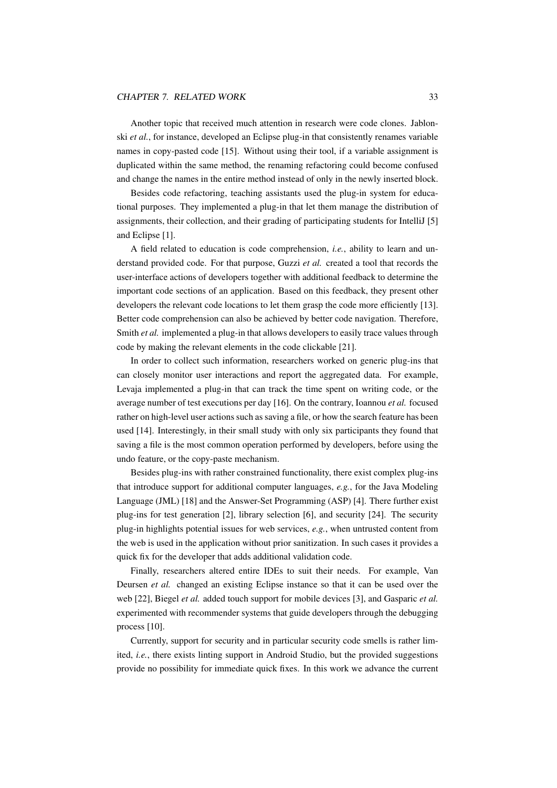#### CHAPTER 7. RELATED WORK 33

Another topic that received much attention in research were code clones. Jablonski *et al.*, for instance, developed an Eclipse plug-in that consistently renames variable names in copy-pasted code [\[15\]](#page-41-2). Without using their tool, if a variable assignment is duplicated within the same method, the renaming refactoring could become confused and change the names in the entire method instead of only in the newly inserted block.

Besides code refactoring, teaching assistants used the plug-in system for educational purposes. They implemented a plug-in that let them manage the distribution of assignments, their collection, and their grading of participating students for IntelliJ [\[5\]](#page-40-1) and Eclipse [\[1\]](#page-40-2).

A field related to education is code comprehension, *i.e.*, ability to learn and understand provided code. For that purpose, Guzzi *et al.* created a tool that records the user-interface actions of developers together with additional feedback to determine the important code sections of an application. Based on this feedback, they present other developers the relevant code locations to let them grasp the code more efficiently [\[13\]](#page-41-3). Better code comprehension can also be achieved by better code navigation. Therefore, Smith *et al.* implemented a plug-in that allows developers to easily trace values through code by making the relevant elements in the code clickable [\[21\]](#page-41-4).

In order to collect such information, researchers worked on generic plug-ins that can closely monitor user interactions and report the aggregated data. For example, Levaja implemented a plug-in that can track the time spent on writing code, or the average number of test executions per day [\[16\]](#page-41-5). On the contrary, Ioannou *et al.* focused rather on high-level user actions such as saving a file, or how the search feature has been used [\[14\]](#page-41-6). Interestingly, in their small study with only six participants they found that saving a file is the most common operation performed by developers, before using the undo feature, or the copy-paste mechanism.

Besides plug-ins with rather constrained functionality, there exist complex plug-ins that introduce support for additional computer languages, *e.g.*, for the Java Modeling Language (JML) [\[18\]](#page-41-7) and the Answer-Set Programming (ASP) [\[4\]](#page-40-3). There further exist plug-ins for test generation [\[2\]](#page-40-4), library selection [\[6\]](#page-40-5), and security [\[24\]](#page-42-0). The security plug-in highlights potential issues for web services, *e.g.*, when untrusted content from the web is used in the application without prior sanitization. In such cases it provides a quick fix for the developer that adds additional validation code.

Finally, researchers altered entire IDEs to suit their needs. For example, Van Deursen *et al.* changed an existing Eclipse instance so that it can be used over the web [\[22\]](#page-42-1), Biegel *et al.* added touch support for mobile devices [\[3\]](#page-40-6), and Gasparic *et al.* experimented with recommender systems that guide developers through the debugging process [\[10\]](#page-41-8).

Currently, support for security and in particular security code smells is rather limited, *i.e.*, there exists linting support in Android Studio, but the provided suggestions provide no possibility for immediate quick fixes. In this work we advance the current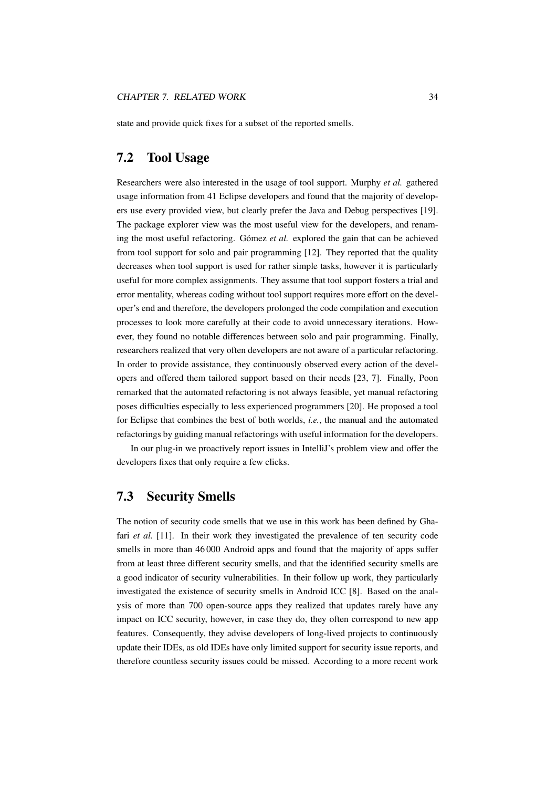state and provide quick fixes for a subset of the reported smells.

### <span id="page-37-0"></span>7.2 Tool Usage

Researchers were also interested in the usage of tool support. Murphy *et al.* gathered usage information from 41 Eclipse developers and found that the majority of developers use every provided view, but clearly prefer the Java and Debug perspectives [\[19\]](#page-41-9). The package explorer view was the most useful view for the developers, and renaming the most useful refactoring. Gómez et al. explored the gain that can be achieved from tool support for solo and pair programming [\[12\]](#page-41-10). They reported that the quality decreases when tool support is used for rather simple tasks, however it is particularly useful for more complex assignments. They assume that tool support fosters a trial and error mentality, whereas coding without tool support requires more effort on the developer's end and therefore, the developers prolonged the code compilation and execution processes to look more carefully at their code to avoid unnecessary iterations. However, they found no notable differences between solo and pair programming. Finally, researchers realized that very often developers are not aware of a particular refactoring. In order to provide assistance, they continuously observed every action of the developers and offered them tailored support based on their needs [\[23,](#page-42-2) [7\]](#page-40-7). Finally, Poon remarked that the automated refactoring is not always feasible, yet manual refactoring poses difficulties especially to less experienced programmers [\[20\]](#page-41-11). He proposed a tool for Eclipse that combines the best of both worlds, *i.e.*, the manual and the automated refactorings by guiding manual refactorings with useful information for the developers.

In our plug-in we proactively report issues in IntelliJ's problem view and offer the developers fixes that only require a few clicks.

### <span id="page-37-1"></span>7.3 Security Smells

The notion of security code smells that we use in this work has been defined by Ghafari *et al.* [\[11\]](#page-41-0). In their work they investigated the prevalence of ten security code smells in more than 46 000 Android apps and found that the majority of apps suffer from at least three different security smells, and that the identified security smells are a good indicator of security vulnerabilities. In their follow up work, they particularly investigated the existence of security smells in Android ICC [\[8\]](#page-40-0). Based on the analysis of more than 700 open-source apps they realized that updates rarely have any impact on ICC security, however, in case they do, they often correspond to new app features. Consequently, they advise developers of long-lived projects to continuously update their IDEs, as old IDEs have only limited support for security issue reports, and therefore countless security issues could be missed. According to a more recent work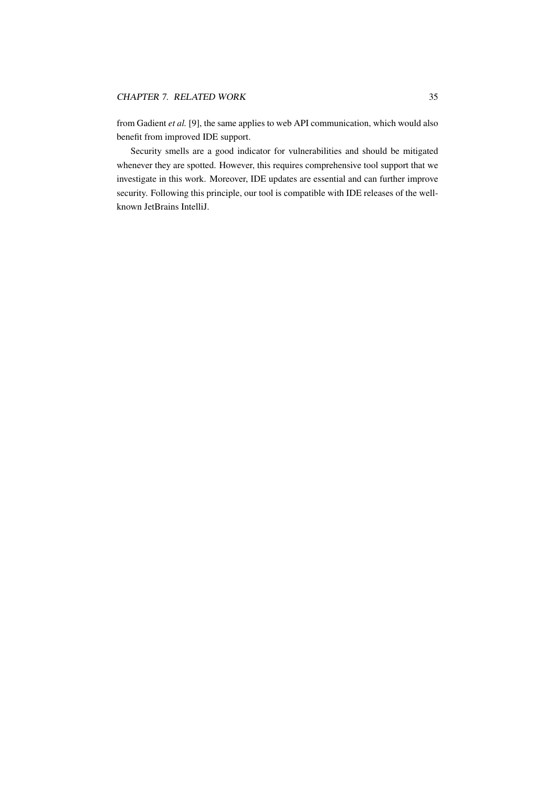from Gadient *et al.* [\[9\]](#page-40-8), the same applies to web API communication, which would also benefit from improved IDE support.

Security smells are a good indicator for vulnerabilities and should be mitigated whenever they are spotted. However, this requires comprehensive tool support that we investigate in this work. Moreover, IDE updates are essential and can further improve security. Following this principle, our tool is compatible with IDE releases of the wellknown JetBrains IntelliJ.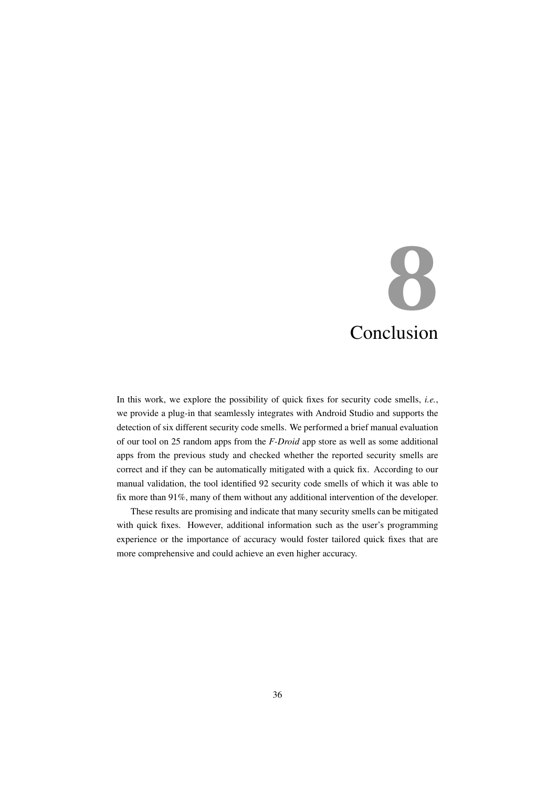# <span id="page-39-0"></span>**8** Conclusion

In this work, we explore the possibility of quick fixes for security code smells, *i.e.*, we provide a plug-in that seamlessly integrates with Android Studio and supports the detection of six different security code smells. We performed a brief manual evaluation of our tool on 25 random apps from the *F-Droid* app store as well as some additional apps from the previous study and checked whether the reported security smells are correct and if they can be automatically mitigated with a quick fix. According to our manual validation, the tool identified 92 security code smells of which it was able to fix more than 91%, many of them without any additional intervention of the developer.

These results are promising and indicate that many security smells can be mitigated with quick fixes. However, additional information such as the user's programming experience or the importance of accuracy would foster tailored quick fixes that are more comprehensive and could achieve an even higher accuracy.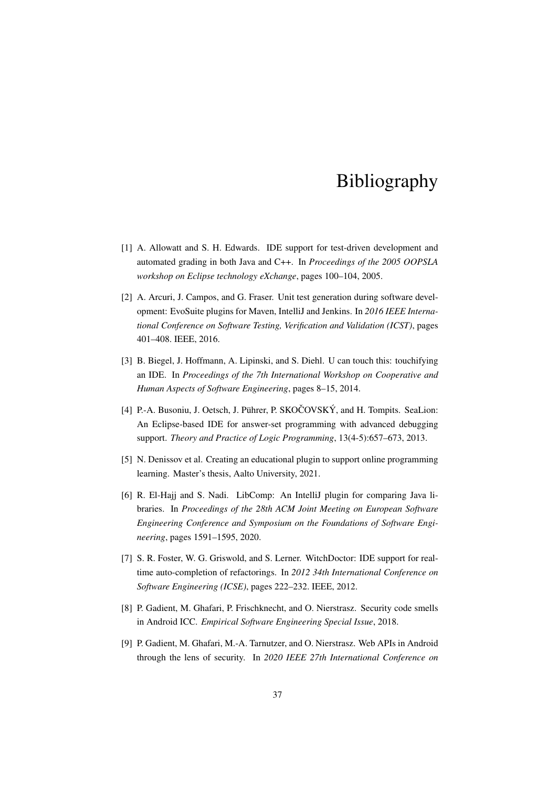# Bibliography

- <span id="page-40-2"></span>[1] A. Allowatt and S. H. Edwards. IDE support for test-driven development and automated grading in both Java and C++. In *Proceedings of the 2005 OOPSLA workshop on Eclipse technology eXchange*, pages 100–104, 2005.
- <span id="page-40-4"></span>[2] A. Arcuri, J. Campos, and G. Fraser. Unit test generation during software development: EvoSuite plugins for Maven, IntelliJ and Jenkins. In *2016 IEEE International Conference on Software Testing, Verification and Validation (ICST)*, pages 401–408. IEEE, 2016.
- <span id="page-40-6"></span>[3] B. Biegel, J. Hoffmann, A. Lipinski, and S. Diehl. U can touch this: touchifying an IDE. In *Proceedings of the 7th International Workshop on Cooperative and Human Aspects of Software Engineering*, pages 8–15, 2014.
- <span id="page-40-3"></span>[4] P.-A. Busoniu, J. Oetsch, J. Pührer, P. SKOČOVSKÝ, and H. Tompits. SeaLion: An Eclipse-based IDE for answer-set programming with advanced debugging support. *Theory and Practice of Logic Programming*, 13(4-5):657–673, 2013.
- <span id="page-40-1"></span>[5] N. Denissov et al. Creating an educational plugin to support online programming learning. Master's thesis, Aalto University, 2021.
- <span id="page-40-5"></span>[6] R. El-Hajj and S. Nadi. LibComp: An IntelliJ plugin for comparing Java libraries. In *Proceedings of the 28th ACM Joint Meeting on European Software Engineering Conference and Symposium on the Foundations of Software Engineering*, pages 1591–1595, 2020.
- <span id="page-40-7"></span>[7] S. R. Foster, W. G. Griswold, and S. Lerner. WitchDoctor: IDE support for realtime auto-completion of refactorings. In *2012 34th International Conference on Software Engineering (ICSE)*, pages 222–232. IEEE, 2012.
- <span id="page-40-0"></span>[8] P. Gadient, M. Ghafari, P. Frischknecht, and O. Nierstrasz. Security code smells in Android ICC. *Empirical Software Engineering Special Issue*, 2018.
- <span id="page-40-8"></span>[9] P. Gadient, M. Ghafari, M.-A. Tarnutzer, and O. Nierstrasz. Web APIs in Android through the lens of security. In *2020 IEEE 27th International Conference on*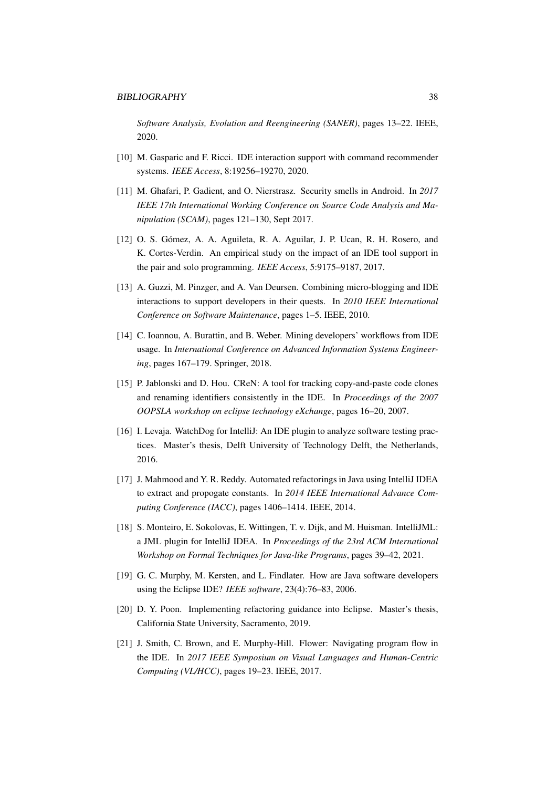*Software Analysis, Evolution and Reengineering (SANER)*, pages 13–22. IEEE, 2020.

- <span id="page-41-8"></span>[10] M. Gasparic and F. Ricci. IDE interaction support with command recommender systems. *IEEE Access*, 8:19256–19270, 2020.
- <span id="page-41-0"></span>[11] M. Ghafari, P. Gadient, and O. Nierstrasz. Security smells in Android. In *2017 IEEE 17th International Working Conference on Source Code Analysis and Manipulation (SCAM)*, pages 121–130, Sept 2017.
- <span id="page-41-10"></span>[12] O. S. Gómez, A. A. Aguileta, R. A. Aguilar, J. P. Ucan, R. H. Rosero, and K. Cortes-Verdin. An empirical study on the impact of an IDE tool support in the pair and solo programming. *IEEE Access*, 5:9175–9187, 2017.
- <span id="page-41-3"></span>[13] A. Guzzi, M. Pinzger, and A. Van Deursen. Combining micro-blogging and IDE interactions to support developers in their quests. In *2010 IEEE International Conference on Software Maintenance*, pages 1–5. IEEE, 2010.
- <span id="page-41-6"></span>[14] C. Ioannou, A. Burattin, and B. Weber. Mining developers' workflows from IDE usage. In *International Conference on Advanced Information Systems Engineering*, pages 167–179. Springer, 2018.
- <span id="page-41-2"></span>[15] P. Jablonski and D. Hou. CReN: A tool for tracking copy-and-paste code clones and renaming identifiers consistently in the IDE. In *Proceedings of the 2007 OOPSLA workshop on eclipse technology eXchange*, pages 16–20, 2007.
- <span id="page-41-5"></span>[16] I. Levaja. WatchDog for IntelliJ: An IDE plugin to analyze software testing practices. Master's thesis, Delft University of Technology Delft, the Netherlands, 2016.
- <span id="page-41-1"></span>[17] J. Mahmood and Y. R. Reddy. Automated refactorings in Java using IntelliJ IDEA to extract and propogate constants. In *2014 IEEE International Advance Computing Conference (IACC)*, pages 1406–1414. IEEE, 2014.
- <span id="page-41-7"></span>[18] S. Monteiro, E. Sokolovas, E. Wittingen, T. v. Dijk, and M. Huisman. IntelliJML: a JML plugin for IntelliJ IDEA. In *Proceedings of the 23rd ACM International Workshop on Formal Techniques for Java-like Programs*, pages 39–42, 2021.
- <span id="page-41-9"></span>[19] G. C. Murphy, M. Kersten, and L. Findlater. How are Java software developers using the Eclipse IDE? *IEEE software*, 23(4):76–83, 2006.
- <span id="page-41-11"></span>[20] D. Y. Poon. Implementing refactoring guidance into Eclipse. Master's thesis, California State University, Sacramento, 2019.
- <span id="page-41-4"></span>[21] J. Smith, C. Brown, and E. Murphy-Hill. Flower: Navigating program flow in the IDE. In *2017 IEEE Symposium on Visual Languages and Human-Centric Computing (VL/HCC)*, pages 19–23. IEEE, 2017.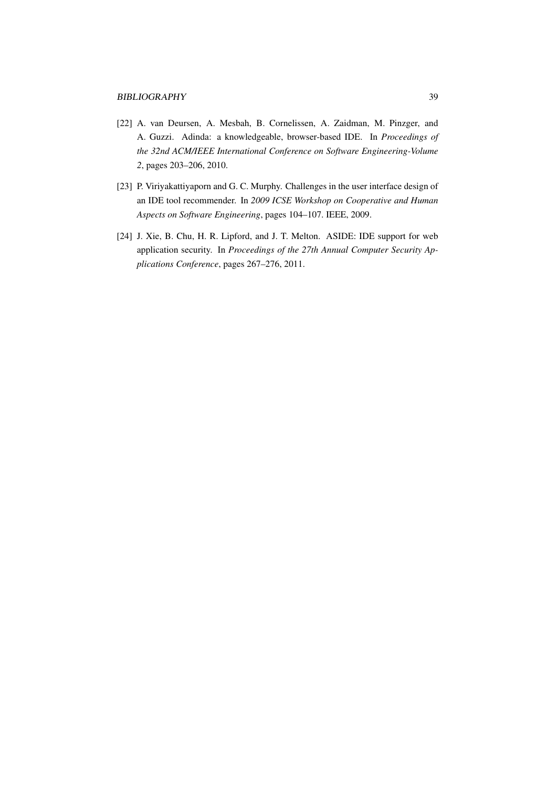- <span id="page-42-1"></span>[22] A. van Deursen, A. Mesbah, B. Cornelissen, A. Zaidman, M. Pinzger, and A. Guzzi. Adinda: a knowledgeable, browser-based IDE. In *Proceedings of the 32nd ACM/IEEE International Conference on Software Engineering-Volume 2*, pages 203–206, 2010.
- <span id="page-42-2"></span>[23] P. Viriyakattiyaporn and G. C. Murphy. Challenges in the user interface design of an IDE tool recommender. In *2009 ICSE Workshop on Cooperative and Human Aspects on Software Engineering*, pages 104–107. IEEE, 2009.
- <span id="page-42-0"></span>[24] J. Xie, B. Chu, H. R. Lipford, and J. T. Melton. ASIDE: IDE support for web application security. In *Proceedings of the 27th Annual Computer Security Applications Conference*, pages 267–276, 2011.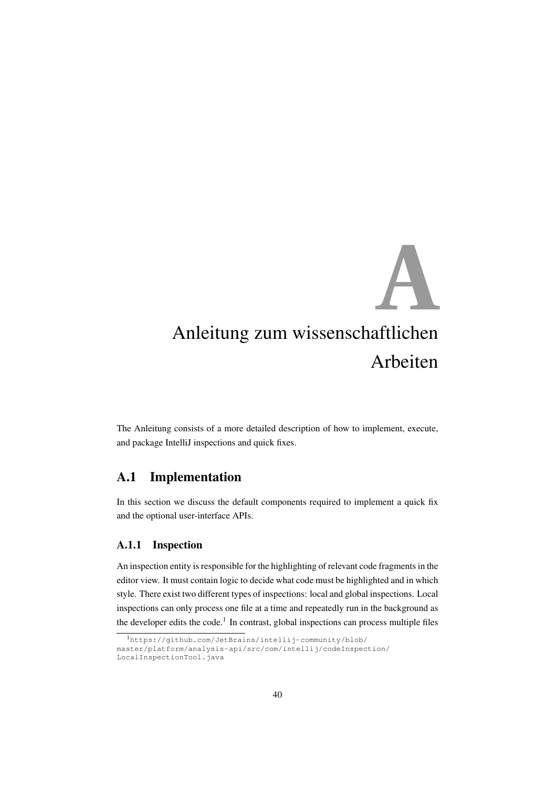# <span id="page-43-0"></span>Anleitung zum wissenschaftlichen **A** Arbeiten

The Anleitung consists of a more detailed description of how to implement, execute, and package IntelliJ inspections and quick fixes.

# <span id="page-43-1"></span>A.1 Implementation

In this section we discuss the default components required to implement a quick fix and the optional user-interface APIs.

#### <span id="page-43-2"></span>A.1.1 Inspection

An inspection entity is responsible for the highlighting of relevant code fragments in the editor view. It must contain logic to decide what code must be highlighted and in which style. There exist two different types of inspections: local and global inspections. Local inspections can only process one file at a time and repeatedly run in the background as the developer edits the code.<sup>[1](#page-43-3)</sup> In contrast, global inspections can process multiple files

<span id="page-43-3"></span><sup>1</sup>[https://github.com/JetBrains/intellij-community/blob/](https://github.com/JetBrains/intellij-community/blob/master/platform/analysis-api/src/com/intellij/codeInspection/LocalInspectionTool.java) [master/platform/analysis-api/src/com/intellij/codeInspection/](https://github.com/JetBrains/intellij-community/blob/master/platform/analysis-api/src/com/intellij/codeInspection/LocalInspectionTool.java) [LocalInspectionTool.java](https://github.com/JetBrains/intellij-community/blob/master/platform/analysis-api/src/com/intellij/codeInspection/LocalInspectionTool.java)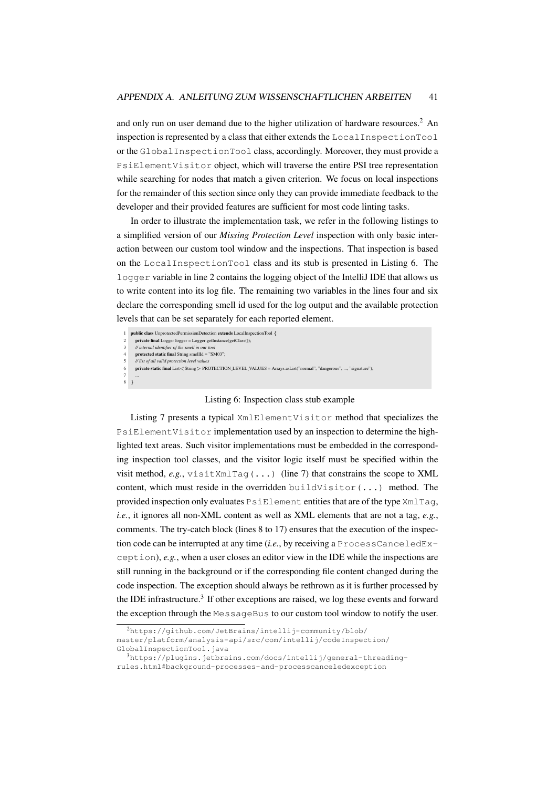and only run on user demand due to the higher utilization of hardware resources.<sup>[2](#page-44-0)</sup> An inspection is represented by a class that either extends the LocalInspectionTool or the GlobalInspectionTool class, accordingly. Moreover, they must provide a PsiElementVisitor object, which will traverse the entire PSI tree representation while searching for nodes that match a given criterion. We focus on local inspections for the remainder of this section since only they can provide immediate feedback to the developer and their provided features are sufficient for most code linting tasks.

In order to illustrate the implementation task, we refer in the following listings to a simplified version of our *Missing Protection Level* inspection with only basic interaction between our custom tool window and the inspections. That inspection is based on the LocalInspectionTool class and its stub is presented in [Listing 6.](#page-44-1) The logger variable in line 2 contains the logging object of the IntelliJ IDE that allows us to write content into its log file. The remaining two variables in the lines four and six declare the corresponding smell id used for the log output and the available protection levels that can be set separately for each reported element.

<span id="page-44-1"></span>

|   | public class UnprotectedPermissionDetection extends LocalInspectionTool {                                           |
|---|---------------------------------------------------------------------------------------------------------------------|
|   | $private final Logger logger = Logger.getInstance(getClass());$                                                     |
| 3 | // internal identifier of the smell in our tool                                                                     |
| 4 | protected static final String smellId = "SM03";                                                                     |
| 5 | // list of all valid protection level values                                                                        |
| 6 | private static final List < String > PROTECTION_LEVEL_VALUES = Arrays.asList("normal", "dangerous", , "signature"); |
|   | $\cdots$                                                                                                            |
|   |                                                                                                                     |
|   |                                                                                                                     |

#### Listing 6: Inspection class stub example

[Listing 7](#page-45-0) presents a typical XmlElementVisitor method that specializes the PsiElementVisitor implementation used by an inspection to determine the highlighted text areas. Such visitor implementations must be embedded in the corresponding inspection tool classes, and the visitor logic itself must be specified within the visit method,  $e.g.,$  visitXmlTag( $\dots$ ) (line 7) that constrains the scope to XML content, which must reside in the overridden buildVisitor(...) method. The provided inspection only evaluates PsiElement entities that are of the type XmlTag, *i.e.*, it ignores all non-XML content as well as XML elements that are not a tag, *e.g.*, comments. The try-catch block (lines 8 to 17) ensures that the execution of the inspection code can be interrupted at any time (*i.e.*, by receiving a ProcessCanceledException), *e.g.*, when a user closes an editor view in the IDE while the inspections are still running in the background or if the corresponding file content changed during the code inspection. The exception should always be rethrown as it is further processed by the IDE infrastructure.<sup>[3](#page-44-2)</sup> If other exceptions are raised, we log these events and forward the exception through the MessageBus to our custom tool window to notify the user.

<span id="page-44-0"></span><sup>2</sup>[https://github.com/JetBrains/intellij-community/blob/](https://github.com/JetBrains/intellij-community/blob/master/platform/analysis-api/src/com/intellij/codeInspection/GlobalInspectionTool.java)

[master/platform/analysis-api/src/com/intellij/codeInspection/](https://github.com/JetBrains/intellij-community/blob/master/platform/analysis-api/src/com/intellij/codeInspection/GlobalInspectionTool.java)

[GlobalInspectionTool.java](https://github.com/JetBrains/intellij-community/blob/master/platform/analysis-api/src/com/intellij/codeInspection/GlobalInspectionTool.java)

<span id="page-44-2"></span><sup>3</sup>[https://plugins.jetbrains.com/docs/intellij/general-threading](https://plugins.jetbrains.com/docs/intellij/general-threading-rules.html#background-processes-and-processcanceledexception)[rules.html#background-processes-and-processcanceledexception](https://plugins.jetbrains.com/docs/intellij/general-threading-rules.html#background-processes-and-processcanceledexception)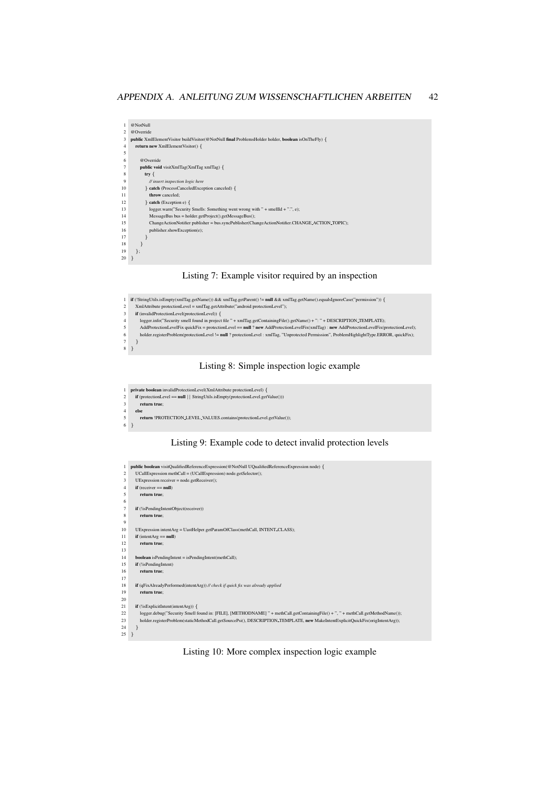```
1 @NotNull
 2 @Override
3 public XmlElementVisitor buildVisitor(@NotNull final ProblemsHolder holder, boolean isOnTheFly) {
 4 return new XmlElementVisitor() {
 5
          6 @Override
          \textbf{public void } \text{visitXmlTag}(\text{XmlTag } \text{xmlTag}) {
 8 try {
9 // insert inspection logic here
          10 } catch (ProcessCanceledException canceled) {
11 throw canceled;<br>12 h catch (Exception
12 } catch (Exception e) \{<br>13 logger warn("Security
13 logger.warn("Security Smells: Something went wrong with " + smellId + ".", e);<br>14 MessageBus bus = holder.getProject().getMessageBus();
15 ChangeActionNotifier publisher = bus.syncPublisher(ChangeActionNotifier.CHANGE_ACTION_TOPIC);<br>16 muhlisher showFxcention(e):
            publisher.showException(e);
\frac{17}{18} }
18\begin{array}{c} 19 \\ 20 \end{array} };
```


<span id="page-45-1"></span>

Listing 8: Simple inspection logic example

```
1 private boolean invalidProtectionLevel(XmlAttribute protectionLevel) {<br>
2 if (protectionLevel == null | | StringUtils.isEmpty(protectionLevel.get)
2 if (protectionLevel == null || StringUtils.isEmpty(protectionLevel.getValue()))<br>3 return true:
          3 return true;
4 else
          5 return !PROTECTION LEVEL VALUES.contains(protectionLevel.getValue());
6 }
```
Listing 9: Example code to detect invalid protection levels

```
1 public boolean visitQualifiedReferenceExpression(@NotNull UQualifiedReferenceExpression node) {
 2 UCallExpression methCall = (UCallExpression) node.getSelector();
 3 UExpression receiver = node.getReceiver();
 4 if (receiver == null)
 5 return true;
  6
 7 if (!isPendingIntentObject(receiver))
 8 return true;
  9
10 UExpression intentArg = UastHelper.getParamOfClass(methCall, INTENT CLASS);
11 if (intentArg == null)<br>12 return true;
         return true;
13
14 boolean isPendingIntent = isPendingIntent(methCall);<br>15 if (!isPendingIntent)
      if (!isPendingIntent)
16 return true
\frac{17}{18}18 if (qFixAlreadyPerformed(intentArg)) // check if quick fix was already applied
19 return true;
\frac{20}{21}\, if \left( !is<br>ExplicitIntent(intentArg)) \{22 logger.debug("Security Smell found in: [FILE], [METHODNAME] " + methCall.getContainingFile() + ", " + methCall.getMethodName());
23 holder.registerProblem(staticMethodCall.getSourcePsi(), DESCRIPTION.TEMPLATE, new MakeIntentExplicitQuickFix(origIntentArg));<br>24 h
      \rightarrow\frac{25}{25}
```
Listing 10: More complex inspection logic example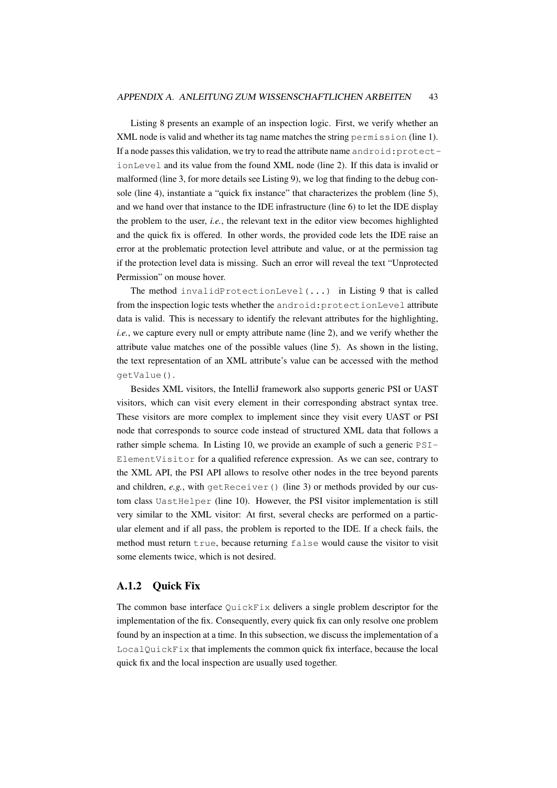[Listing 8](#page-45-1) presents an example of an inspection logic. First, we verify whether an XML node is valid and whether its tag name matches the string permission (line 1). If a node passes this validation, we try to read the attribute name android:protectionLevel and its value from the found XML node (line 2). If this data is invalid or malformed (line 3, for more details see [Listing 9\)](#page-45-2), we log that finding to the debug console (line 4), instantiate a "quick fix instance" that characterizes the problem (line 5), and we hand over that instance to the IDE infrastructure (line 6) to let the IDE display the problem to the user, *i.e.*, the relevant text in the editor view becomes highlighted and the quick fix is offered. In other words, the provided code lets the IDE raise an error at the problematic protection level attribute and value, or at the permission tag if the protection level data is missing. Such an error will reveal the text "Unprotected Permission" on mouse hover.

The method invalidProtectionLevel(...) in [Listing 9](#page-45-2) that is called from the inspection logic tests whether the android:protectionLevel attribute data is valid. This is necessary to identify the relevant attributes for the highlighting, *i.e.*, we capture every null or empty attribute name (line 2), and we verify whether the attribute value matches one of the possible values (line 5). As shown in the listing, the text representation of an XML attribute's value can be accessed with the method getValue().

Besides XML visitors, the IntelliJ framework also supports generic PSI or UAST visitors, which can visit every element in their corresponding abstract syntax tree. These visitors are more complex to implement since they visit every UAST or PSI node that corresponds to source code instead of structured XML data that follows a rather simple schema. In [Listing 10,](#page-45-3) we provide an example of such a generic PSI-ElementVisitor for a qualified reference expression. As we can see, contrary to the XML API, the PSI API allows to resolve other nodes in the tree beyond parents and children, *e.g.*, with getReceiver() (line 3) or methods provided by our custom class UastHelper (line 10). However, the PSI visitor implementation is still very similar to the XML visitor: At first, several checks are performed on a particular element and if all pass, the problem is reported to the IDE. If a check fails, the method must return true, because returning false would cause the visitor to visit some elements twice, which is not desired.

#### <span id="page-46-0"></span>A.1.2 Quick Fix

The common base interface QuickFix delivers a single problem descriptor for the implementation of the fix. Consequently, every quick fix can only resolve one problem found by an inspection at a time. In this subsection, we discuss the implementation of a LocalQuickFix that implements the common quick fix interface, because the local quick fix and the local inspection are usually used together.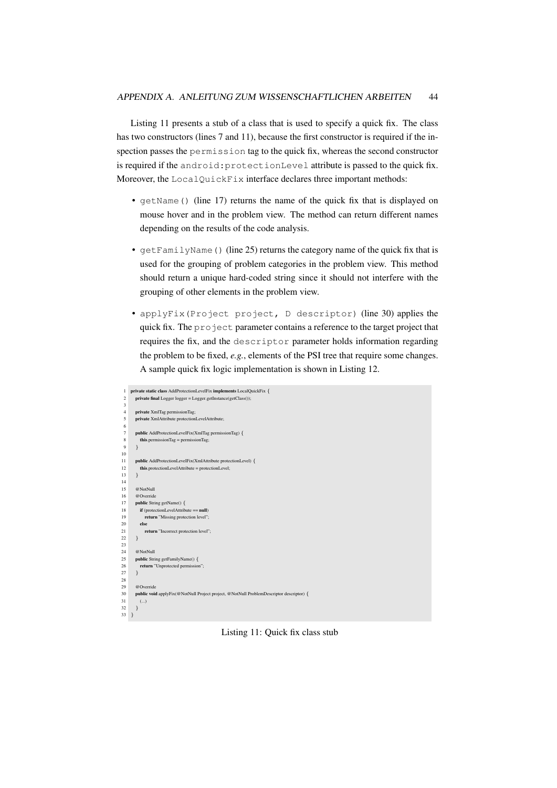[Listing 11](#page-47-0) presents a stub of a class that is used to specify a quick fix. The class has two constructors (lines 7 and 11), because the first constructor is required if the inspection passes the permission tag to the quick fix, whereas the second constructor is required if the android:protectionLevel attribute is passed to the quick fix. Moreover, the LocalQuickFix interface declares three important methods:

- getName() (line 17) returns the name of the quick fix that is displayed on mouse hover and in the problem view. The method can return different names depending on the results of the code analysis.
- getFamilyName() (line 25) returns the category name of the quick fix that is used for the grouping of problem categories in the problem view. This method should return a unique hard-coded string since it should not interfere with the grouping of other elements in the problem view.
- applyFix(Project project, D descriptor) (line 30) applies the quick fix. The project parameter contains a reference to the target project that requires the fix, and the descriptor parameter holds information regarding the problem to be fixed, *e.g.*, elements of the PSI tree that require some changes. A sample quick fix logic implementation is shown in [Listing 12.](#page-48-0)

```
rate static class AddProtectionLevelFix implements LocalQuickFix {
 2 private final Logger logger = Logger.getInstance(getClass());
 3
         private XmlTag permissionTag;
         5 private XmlAttribute protectionLevelAttribute;
  6
         \textbf{public AddProtectionLevelFix}(X\text{mITag permissionTag}) {
            {\bf this}. {\bf permissionTag} = {\bf permissionTag};9 }
10
11 public AddProtectionLevelFix(XmlAttribute protectionLevel) {<br>12 this.protectionLevelAttribute = protectionLevel;
         this.protectionLevelAttribute = protectionLevel;<br>}
13 }
14<br>1515 @NotNull<br>16 @Override
         16 @Override
17 public String getName() {<br>18 if (protectionLevelAttribu
18 if (protectionLevelAttribute = null)<br>19 if the interval interval<br>19 if (protection level)
               return "Missing protection level";
\begin{array}{ccc} 20 & & \text{else} \\ 21 & & \text{re} \end{array}return "Incorrect protection level";
22 }
\frac{23}{24}24 @NotNull<br>25 public Stri
         public String getFamilyName() {
26 return "Unprotected permission";
27 }
28
29 @Override<br>30 public voi
30 public void applyFix(@NotNull Project project, @NotNull ProblemDescriptor descriptor) \{ (...)
            (..)32 \hspace{15mm} \rightarrow33 }
```
Listing 11: Quick fix class stub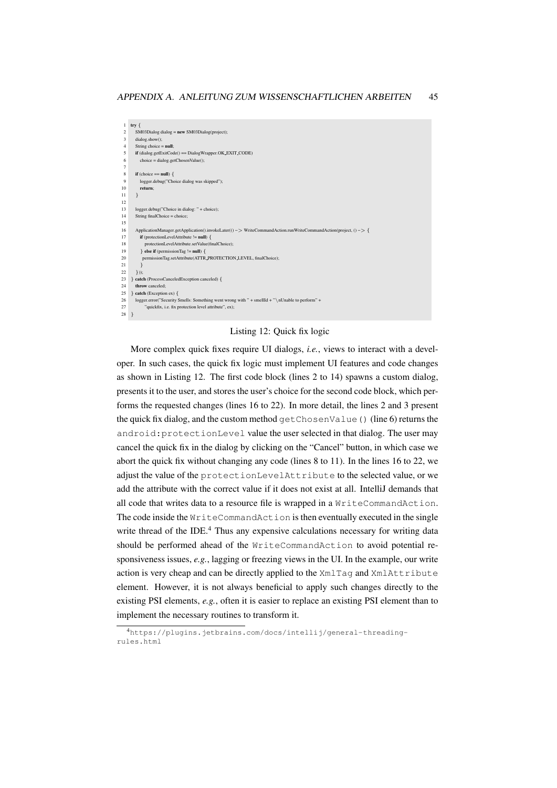```
1 try {
 2 SM03Dialog dialog = new SM03Dialog(project);dialog.show();
 4 String choice = n \cdot5 if (dialog.getExitCode() == DialogWrapper.OK EXIT CODE)
           choice = dialog.getChosenValue();
  7
 8 if (choice == null) {
9 logger.debug("Choice dialog was skipped");<br>10 return:
           return;
11 }
\frac{12}{13}13 logger.debug("Choice in dialog: " + choice);<br>14 String finalChoice = choice;
        String finalChoice = choice\frac{15}{16}16 ApplicationManager.getApplication().invokeLater(() −> WriteCommandAction.runWriteCommandAction(project, () −> {
17 if (protectionLevelAttribute \vert = \text{null} \rangle {<br>18 protectionLevelAttribute setValue(fi
                 <sub>1</sub><br>
18 protectionLevelAttribute.setValue(finalChoice);
19 } else if (permissionTag != null) {
20 permissionTag.setAttribute(ATTR_PROTECTION_LEVEL, finalChoice);
2122 \quad \text{}));
23 } catch (ProcessCanceledException canceled) {<br>24 throw canceled:
        throw canceled;
25 } catch (Exception ex) {
26 logger.error("Security Smells: Something went wrong with " + smellId + " \nUnable to perform" + 27 " ouickfix. i.e. fix protection level attribute". ex):
              "quickfix, i.e. fix protection level attribute", ex);
28 }
```
#### Listing 12: Quick fix logic

More complex quick fixes require UI dialogs, *i.e.*, views to interact with a developer. In such cases, the quick fix logic must implement UI features and code changes as shown in [Listing 12.](#page-48-0) The first code block (lines 2 to 14) spawns a custom dialog, presents it to the user, and stores the user's choice for the second code block, which performs the requested changes (lines 16 to 22). In more detail, the lines 2 and 3 present the quick fix dialog, and the custom method getChosenValue() (line 6) returns the android:protectionLevel value the user selected in that dialog. The user may cancel the quick fix in the dialog by clicking on the "Cancel" button, in which case we abort the quick fix without changing any code (lines 8 to 11). In the lines 16 to 22, we adjust the value of the protectionLevelAttribute to the selected value, or we add the attribute with the correct value if it does not exist at all. IntelliJ demands that all code that writes data to a resource file is wrapped in a WriteCommandAction. The code inside the WriteCommandAction is then eventually executed in the single write thread of the IDE. $4$  Thus any expensive calculations necessary for writing data should be performed ahead of the WriteCommandAction to avoid potential responsiveness issues, *e.g.*, lagging or freezing views in the UI. In the example, our write action is very cheap and can be directly applied to the XmlTag and XmlAttribute element. However, it is not always beneficial to apply such changes directly to the existing PSI elements, *e.g.*, often it is easier to replace an existing PSI element than to implement the necessary routines to transform it.

<span id="page-48-1"></span><sup>4</sup>[https://plugins.jetbrains.com/docs/intellij/general-threading](https://plugins.jetbrains.com/docs/intellij/general-threading-rules.html)[rules.html](https://plugins.jetbrains.com/docs/intellij/general-threading-rules.html)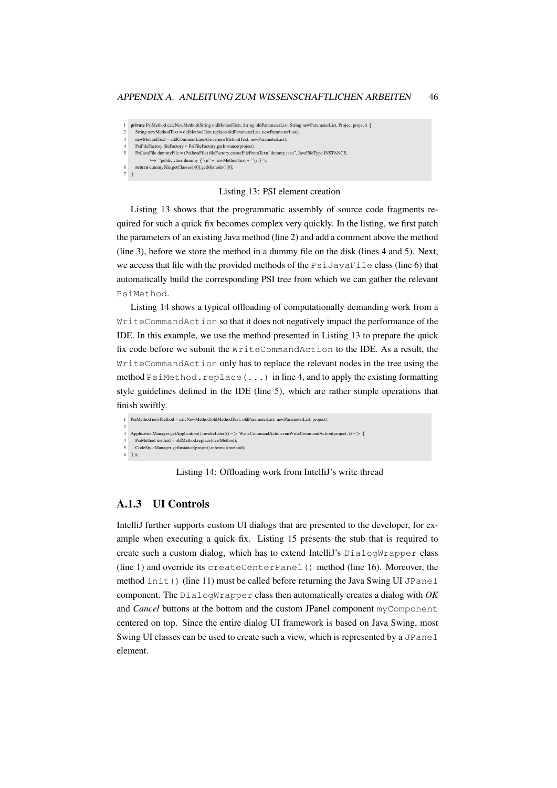#### APPENDIX A. ANLEITUNG ZUM WISSENSCHAFTLICHEN ARBEITEN 46

<span id="page-49-1"></span>1 private PsiMethod calcNewMethod(String oldMethodText, String oldParameterList, String newParameterList, Project project) { String newMethodText = oldMethodText.replace(oldParameterList, newParameterList);

- newMethodText = addCommentLineAbove(newMethodText, newParameterList);
- $\label{eq:psiFileFactor} \text{PsiFactory fileFactory} = \text{PsiFactory.getInstance} (\text{project});$
- 5 PsiJavaFile dummyFile = (PsiJavaFile) fileFactory.createFileFromText("dummy.java", JavaFileType.INSTANCE,
- $\hookrightarrow$  "public class dummy  $\{\n\n\cdot + newMethodText + "\n}\n\cdot$ ");  ${\bf return}\ {\sf dummyFile.getClasses}() [0]. {\sf getMethods}() [0];$
- 7 }

#### Listing 13: PSI element creation

[Listing 13](#page-49-1) shows that the programmatic assembly of source code fragments required for such a quick fix becomes complex very quickly. In the listing, we first patch the parameters of an existing Java method (line 2) and add a comment above the method (line 3), before we store the method in a dummy file on the disk (lines 4 and 5). Next, we access that file with the provided methods of the  $P\sin\theta$   $\sin\theta$  (line 6) that automatically build the corresponding PSI tree from which we can gather the relevant PsiMethod.

[Listing 14](#page-49-2) shows a typical offloading of computationally demanding work from a WriteCommandAction so that it does not negatively impact the performance of the IDE. In this example, we use the method presented in [Listing 13](#page-49-1) to prepare the quick fix code before we submit the WriteCommandAction to the IDE. As a result, the WriteCommandAction only has to replace the relevant nodes in the tree using the method PsiMethod.replace( $\ldots$ ) in line 4, and to apply the existing formatting style guidelines defined in the IDE (line 5), which are rather simple operations that finish swiftly.

```
1 PsiMethod newMethod = calcNewMethod(oldMethodText, oldParameterList, newParameterList, project);
2
   3 ApplicationManager.getApplication().invokeLater(() −> WriteCommandAction.runWriteCommandAction(project, () −> {
4 PsiMethod method = oldMethod.replace(newMethod);
5 CodeStyleManager.getInstance(project).reformat(method);
6 }));
```
Listing 14: Offloading work from IntelliJ's write thread

#### <span id="page-49-0"></span>A.1.3 UI Controls

IntelliJ further supports custom UI dialogs that are presented to the developer, for example when executing a quick fix. [Listing 15](#page-50-1) presents the stub that is required to create such a custom dialog, which has to extend IntelliJ's DialogWrapper class (line 1) and override its createCenterPanel() method (line 16). Moreover, the method init() (line 11) must be called before returning the Java Swing UI JPanel component. The DialogWrapper class then automatically creates a dialog with *OK* and *Cancel* buttons at the bottom and the custom JPanel component myComponent centered on top. Since the entire dialog UI framework is based on Java Swing, most Swing UI classes can be used to create such a view, which is represented by a JPanel element.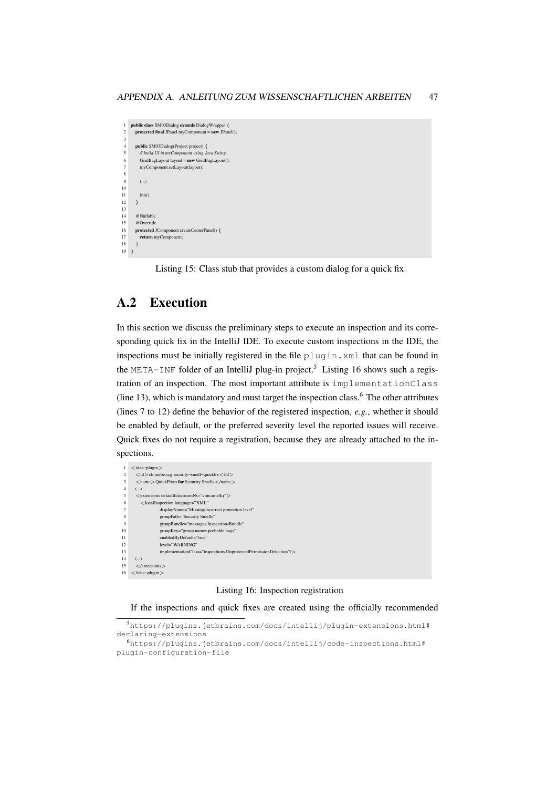```
\, public class SM03Dialog extends DialogWrapper \{protected final JPanel myComponent = new JPanel();
  3
        4 public SM03Dialog(Project project) {
  5 // build UI in myComponent using Java Swing
6 GridBagLayout layout = new GridBagLayout();
            myComponent.setLayout(layout);
 8
           9 (...)
10
\frac{11}{12} init();
        \overline{1}13
14 @Nullable<br>15 @Override
15 @Override<br>16 protected
16 protected JComponent createCenterPanel() {<br>17 return myComponent;
17 return myComponent;<br>18 \lambda\rightarrow19 }
```
Listing 15: Class stub that provides a custom dialog for a quick fix

# <span id="page-50-0"></span>A.2 Execution

In this section we discuss the preliminary steps to execute an inspection and its corresponding quick fix in the IntelliJ IDE. To execute custom inspections in the IDE, the inspections must be initially registered in the file plugin.xml that can be found in the META-INF folder of an IntelliJ plug-in project.<sup>[5](#page-50-2)</sup> [Listing 16](#page-50-3) shows such a registration of an inspection. The most important attribute is implementationClass (line 13), which is mandatory and must target the inspection class. $6$  The other attributes (lines 7 to 12) define the behavior of the registered inspection, *e.g.*, whether it should be enabled by default, or the preferred severity level the reported issues will receive. Quick fixes do not require a registration, because they are already attached to the inspections.

<span id="page-50-3"></span>

|                | $\langle$ idea-plugin $\rangle$                                         |
|----------------|-------------------------------------------------------------------------|
| 2              | $\langle$ id $>$ ch.unibe.scg.security-smell-quickfix $\langle$ /id $>$ |
| 3              | <name>OuickFixes for Security Smells</name>                             |
| $\overline{4}$ | ()                                                                      |
| 5              | < extensions defaultExtensionNs="com.intellij" >                        |
| 6              | <localinspection <="" language="XML" td=""></localinspection>           |
| 7              | displayName="Missing/incorrect protection level"                        |
| 8              | groupPath="Security Smells"                                             |
| 9              | groupBundle="messages.InspectionsBundle"                                |
| 10             | groupKey="group.names.probable.bugs"                                    |
| 11             | enabledByDefault="true"                                                 |
| 12             | level="WARNING"                                                         |
| 13             | implementationClass="inspections.UnprotectedPermissionDetection"/>      |
| 14             | ()                                                                      |
| 15             | $\langle$ /extensions $\rangle$                                         |
| 16             | $\langle$ /idea-plugin $\rangle$                                        |
|                |                                                                         |

#### Listing 16: Inspection registration

If the inspections and quick fixes are created using the officially recommended

<span id="page-50-2"></span><sup>5</sup>[https://plugins.jetbrains.com/docs/intellij/plugin-extensions.html#](https://plugins.jetbrains.com/docs/intellij/plugin-extensions.html#declaring-extensions) [declaring-extensions](https://plugins.jetbrains.com/docs/intellij/plugin-extensions.html#declaring-extensions)

<span id="page-50-4"></span> $<sup>6</sup>$ [https://plugins.jetbrains.com/docs/intellij/code-inspections.html#](https://plugins.jetbrains.com/docs/intellij/code-inspections.html#plugin-configuration-file)</sup> [plugin-configuration-file](https://plugins.jetbrains.com/docs/intellij/code-inspections.html#plugin-configuration-file)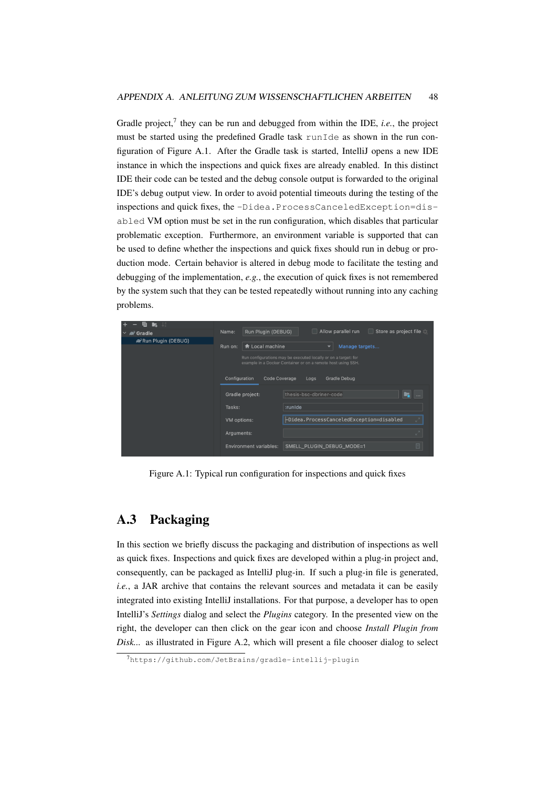Gradle project,<sup>[7](#page-51-1)</sup> they can be run and debugged from within the IDE, *i.e.*, the project must be started using the predefined Gradle task runIde as shown in the run configuration of [Figure A.1.](#page-51-2) After the Gradle task is started, IntelliJ opens a new IDE instance in which the inspections and quick fixes are already enabled. In this distinct IDE their code can be tested and the debug console output is forwarded to the original IDE's debug output view. In order to avoid potential timeouts during the testing of the inspections and quick fixes, the -Didea.ProcessCanceledException=disabled VM option must be set in the run configuration, which disables that particular problematic exception. Furthermore, an environment variable is supported that can be used to define whether the inspections and quick fixes should run in debug or production mode. Certain behavior is altered in debug mode to facilitate the testing and debugging of the implementation, *e.g.*, the execution of quick fixes is not remembered by the system such that they can be tested repeatedly without running into any caching problems.

| $\perp^{\alpha}$<br>眉<br><b>In</b> |                                                                                                                                |                               |                           |                                          |                       |  |
|------------------------------------|--------------------------------------------------------------------------------------------------------------------------------|-------------------------------|---------------------------|------------------------------------------|-----------------------|--|
| <b>R</b> Gradle                    | Name:                                                                                                                          | Run Plugin (DEBUG)            |                           | Allow parallel run                       | Store as project file |  |
| Run Plugin (DEBUG)                 |                                                                                                                                |                               |                           |                                          |                       |  |
|                                    | Run on:                                                                                                                        | <b>←</b> Local machine        |                           | Manage targets                           |                       |  |
|                                    | Run configurations may be executed locally or on a target: for<br>example in a Docker Container or on a remote host using SSH. |                               |                           |                                          |                       |  |
|                                    | Configuration                                                                                                                  | Code Coverage                 | Logs                      | Gradle Debug                             |                       |  |
|                                    |                                                                                                                                | Gradle project:               | thesis-bsc-dbriner-code   |                                          | $\cdots$              |  |
|                                    | Tasks:<br><b>VM</b> options:                                                                                                   |                               | :runIde                   |                                          |                       |  |
|                                    |                                                                                                                                |                               |                           | -Didea.ProcessCanceledException=disabled |                       |  |
|                                    | Arguments:                                                                                                                     |                               |                           |                                          |                       |  |
|                                    |                                                                                                                                | <b>Environment variables:</b> | SMELL PLUGIN DEBUG MODE=1 |                                          | ۷                     |  |

<span id="page-51-2"></span>Figure A.1: Typical run configuration for inspections and quick fixes

## <span id="page-51-0"></span>A.3 Packaging

In this section we briefly discuss the packaging and distribution of inspections as well as quick fixes. Inspections and quick fixes are developed within a plug-in project and, consequently, can be packaged as IntelliJ plug-in. If such a plug-in file is generated, *i.e.*, a JAR archive that contains the relevant sources and metadata it can be easily integrated into existing IntelliJ installations. For that purpose, a developer has to open IntelliJ's *Settings* dialog and select the *Plugins* category. In the presented view on the right, the developer can then click on the gear icon and choose *Install Plugin from Disk...* as illustrated in [Figure A.2,](#page-52-0) which will present a file chooser dialog to select

<span id="page-51-1"></span><sup>7</sup><https://github.com/JetBrains/gradle-intellij-plugin>